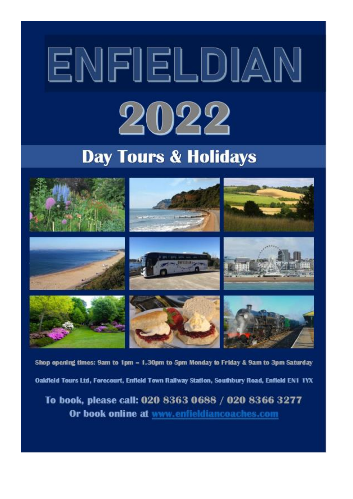# ENFIELDIAN 2022

# **Day Tours & Holidays**



Shop opening times: 9am to 1pm - 1.30pm to 5pm Monday to Friday & 9am to 3pm Saturday Oakfield Tours Ltd, Forecourt, Enfield Town Railway Station, Southbury Road, Enfield EN1 1YX

To book, please call: 020 8363 0688 / 020 8366 3277 Or book online at www.enfieldiancoaches.com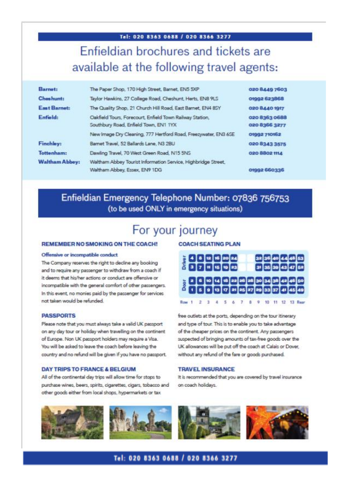Tel: 020 8363 0688 / 020 8366 3277 Enfieldian brochures and tickets are

# available at the following travel agents:

| Barnet:               | The Paper Shop, 170 High Street, Barnet, EN5 5XP                                                  | 020 8449 7603                  |  |  |  |
|-----------------------|---------------------------------------------------------------------------------------------------|--------------------------------|--|--|--|
| <b>Cheshunt:</b>      | Taylor Hawkins, 27 College Road, Cheshunt, Herts, ENB 9LS                                         | 01992 623868                   |  |  |  |
| East Barnet:          | The Quality Shop, 21 Church Hill Road, East Barnet, EN4 85Y                                       | 020 8440 1917                  |  |  |  |
| Enfield:              | Oakfield Tours, Forecourt, Enfield Town Railway Station.<br>Southbury Road, Enfield Town, EN1 1YX | 020 8363 0688<br>020 8366 3277 |  |  |  |
|                       | New Image Dry Cleaning, 777 Hertford Road, Freezywater, EN3 6SE                                   | 01992 710162                   |  |  |  |
| Finchley:             | Barnet Travel, 52 Ballards Lane, N3 2BU                                                           | 020 8343 3575                  |  |  |  |
| Tottenham:            | Dawling Travel, 70 West Green Road, N15 5NS                                                       | 020 8802 1114                  |  |  |  |
| <b>Waltham Abbey:</b> | Waltham Abbey Tourist Information Service, Highbridge Street,                                     |                                |  |  |  |
|                       | Waltham Abbey, Essex, EN9 1DG                                                                     | 01992 660336                   |  |  |  |

# Enfieldian Emergency Telephone Number: 07836 756753 (to be used ONLY in emergency situations)

# For your journey

#### REMEMBER NO SMOKING ON THE COACH!

#### Offensive or incompatible conduct

The Company reserves the right to decline any booking and to require any passenger to withdraw from a coach if it deems that his/her actions or conduct are offensive or incompatible with the general comfort of other passengers. In this event, no monies paid by the passenger for services not taken would be refunded.

#### **PASSPORTS**

Please note that you must always take a valid UK passport on any day tour or holiday when travelling on the continent of Europe. Non UK passport holders may require a Visa. You will be asked to leave the coach before leaving the country and no refund will be given if you have no passport.

#### **DAY TRIPS TO FRANCE & BELGIUM**

All of the continental day trips will allow time for stops to purchase wines, beers, spirits, cigarettes, cigars, tobacco and other goods either from local shops, hypermarkets or tax

#### **COACH SEATING PLAN**



free outlets at the ports, depending on the tour itinerary and type of tour. This is to enable you to take advantage of the cheaper prices on the continent. Any passengers suspected of bringing amounts of tax-free goods over the UK allowances will be put off the coach at Calais or Dover, without any refund of the fare or goods purchased.

#### **TRAVEL INSURANCE**

It is recommended that you are covered by travel insurance on coach holidays.

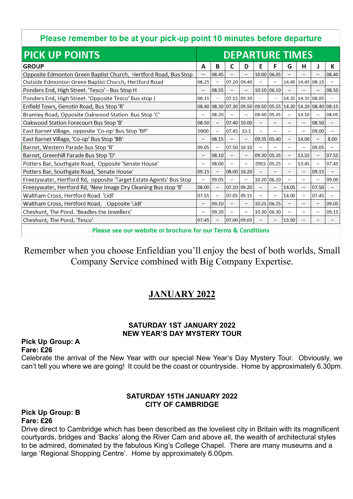# Please remember to be at your pick-up point 10 minutes before departure

| <b>PICK UP POINTS</b>                                              |  | <b>DEPARTURE TIMES</b>   |                          |                          |                          |       |       |                          |                                                       |                          |  |
|--------------------------------------------------------------------|--|--------------------------|--------------------------|--------------------------|--------------------------|-------|-------|--------------------------|-------------------------------------------------------|--------------------------|--|
| <b>GROUP</b>                                                       |  | в                        | c                        | D                        | Ε                        | F     | G     | н                        | J                                                     | К                        |  |
| Opposite Edmonton Green Baptist Church, Hertford Road, Bus Stop    |  | 08.45                    |                          | $\overline{\phantom{0}}$ | 10.00 06.05              |       |       |                          |                                                       | 08.40                    |  |
| Outside Edmonton Green Baptist Church, Hertford Road               |  | -                        | 07.20 09.40              |                          |                          |       |       | 14.45 14.45 08.15        |                                                       |                          |  |
| Ponders End, High Street. 'Tesco' - Bus Stop H                     |  | 08.55                    |                          |                          | 10.10 06.10              |       |       |                          |                                                       | 08.50                    |  |
| Ponders End, High Street. 'Opposite Tesco' Bus stop J              |  | -                        | 07.15 09.30              |                          | <u>—</u>                 | —     |       | 14.35 14.35 08.05        |                                                       |                          |  |
| Enfield Town, Genotin Road, Bus Stop 'R'                           |  |                          |                          |                          |                          |       |       |                          | 08.30 07.30 09.50 09.50 05.55 14.20 14.20 08.40 08.15 |                          |  |
| Bramley Road, Opposite Oakwood Station Bus Stop 'C'                |  | 08.20                    |                          |                          | 09.40 05.45              |       |       | 14.10                    | $\overline{\phantom{0}}$                              | 08.05                    |  |
| Oakwood Station Forecourt Bus Stop 'B'                             |  | $\overline{\phantom{0}}$ | 07.40                    | 10.00                    | $\overline{\phantom{0}}$ |       |       | $\overline{\phantom{0}}$ | 08.50                                                 |                          |  |
| East Barnet Village, opposite 'Co-op' Bus Stop 'BP'                |  | ÷                        | 07.45                    | 10.1                     | $\equiv$                 |       |       | ÷                        | 09.00                                                 | $\equiv$                 |  |
| East Barnet Village, 'Co-op' Bus Stop 'BB'                         |  | 08.15                    |                          | $\overline{\phantom{0}}$ | 09.35 05.40              |       |       | 14.00                    | $\overline{\phantom{0}}$                              | 8.00                     |  |
| Barnet, Western Parade Bus Stop 'R'                                |  | $\overline{\phantom{0}}$ | 07.50                    | 10.10                    |                          |       |       | —                        | 09.05                                                 |                          |  |
| Barnet, Greenhill Parade Bus Stop 'D'                              |  | 08.10                    | $\overline{\phantom{0}}$ |                          | 09.30 05.35              |       | $-$   | 13.55                    | $\overline{\phantom{0}}$                              | 07.55                    |  |
| Potters Bar, Southgate Road, Opposite 'Senate House'               |  | 08.00                    |                          | $\overline{\phantom{0}}$ | 0915                     | 05.25 |       | 13.45                    | $\overline{\phantom{0}}$                              | 07.45                    |  |
| Potters Bar, Southgate Road, 'Senate House'                        |  | $\overline{\phantom{0}}$ | 08.00                    | 10.20                    | $\overline{\phantom{0}}$ |       |       | —                        | 09.15                                                 | $\overline{\phantom{0}}$ |  |
| Freezywater, Hertford Rd, opposite 'Target Estate Agents' Bus Stop |  | 09.05                    | $\overline{\phantom{0}}$ | $\overline{\phantom{0}}$ | 10.20 06.20              |       |       | $\overline{\phantom{0}}$ | $\overline{\phantom{0}}$                              | 09.00                    |  |
| Freezywater, Hertford Rd, 'New Image Dry Cleaning Bus stop 'B'     |  | ÷,                       | 07.10 09.20              |                          | ÷                        |       | 14.05 | $\equiv$                 | 07.50                                                 |                          |  |
| Waltham Cross, Hertford Road. 'Lidl'                               |  | $\overline{\phantom{0}}$ | 07.05 09.15              |                          | $\overline{\phantom{0}}$ | —     | 14.00 | -                        | 07.45                                                 |                          |  |
| Waltham Cross, Hertford Road, Opposite 'Lidl'                      |  | 09.10                    | $\overline{\phantom{0}}$ | -                        | 10.25 06.25              |       |       | -                        | $\overline{\phantom{0}}$                              | 09.05                    |  |
| Cheshunt, The Pond. 'Beadles the Jewellers'                        |  | 09.20                    |                          |                          | 10.30 06.30              |       |       |                          |                                                       | 09.15                    |  |
| Cheshunt, The Pond, 'Tesco'                                        |  |                          | 07.00 09.05              |                          |                          |       | 13.50 |                          |                                                       |                          |  |
|                                                                    |  |                          |                          |                          |                          |       |       |                          |                                                       |                          |  |

Please see our website or brochure for our Terms & Conditions

Remember when you choose Enfieldian you'll enjoy the best of both worlds, Small Company Service combined with Big Company Expertise.

# **JANUARY 2022**

#### **SATURDAY 1ST JANUARY 2022 NEW YEAR'S DAY MYSTERY TOUR**

#### **Pick Up Group: A Fare: £26**

Celebrate the arrival of the New Year with our special New Year's Day Mystery Tour. Obviously, we can't tell you where we are going! It could be the coast or countryside. Home by approximately 6.30pm.

#### **SATURDAY 15TH JANUARY 2022 CITY OF CAMBRIDGE**

#### **Pick Up Group: B Fare: £26**

Drive direct to Cambridge which has been described as the loveliest city in Britain with its magnificent courtyards, bridges and 'Backs' along the River Cam and above all, the wealth of architectural styles to be admired, dominated by the fabulous King's College Chapel. There are many museums and a large 'Regional Shopping Centre'. Home by approximately 6.00pm.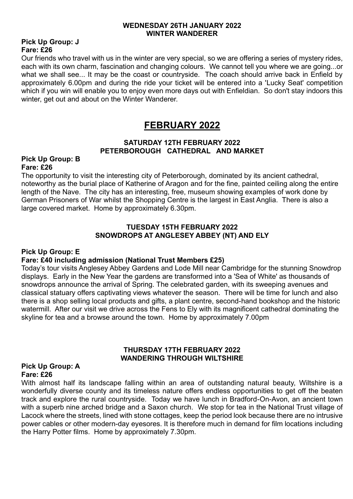#### **WEDNESDAY 26TH JANUARY 2022 WINTER WANDERER**

#### **Pick Up Group: J Fare: £26**

Our friends who travel with us in the winter are very special, so we are offering a series of mystery rides, each with its own charm, fascination and changing colours. We cannot tell you where we are going...or what we shall see... It may be the coast or countryside. The coach should arrive back in Enfield by approximately 6.00pm and during the ride your ticket will be entered into a 'Lucky Seat' competition which if you win will enable you to enjoy even more days out with Enfieldian. So don't stay indoors this winter, get out and about on the Winter Wanderer.

# **FEBRUARY 2022**

#### **SATURDAY 12TH FEBRUARY 2022 PETERBOROUGH CATHEDRAL AND MARKET**

#### **Pick Up Group: B Fare: £26**

The opportunity to visit the interesting city of Peterborough, dominated by its ancient cathedral, noteworthy as the burial place of Katherine of Aragon and for the fine, painted ceiling along the entire length of the Nave. The city has an interesting, free, museum showing examples of work done by German Prisoners of War whilst the Shopping Centre is the largest in East Anglia. There is also a large covered market. Home by approximately 6.30pm.

#### **TUESDAY 15TH FEBRUARY 2022 SNOWDROPS AT ANGLESEY ABBEY (NT) AND ELY**

#### **Pick Up Group: E**

#### **Fare: £40 including admission (National Trust Members £25)**

Today's tour visits Anglesey Abbey Gardens and Lode Mill near Cambridge for the stunning Snowdrop displays. Early in the New Year the gardens are transformed into a 'Sea of White' as thousands of snowdrops announce the arrival of Spring. The celebrated garden, with its sweeping avenues and classical statuary offers captivating views whatever the season. There will be time for lunch and also there is a shop selling local products and gifts, a plant centre, second-hand bookshop and the historic watermill. After our visit we drive across the Fens to Ely with its magnificent cathedral dominating the skyline for tea and a browse around the town. Home by approximately 7.00pm

#### **THURSDAY 17TH FEBRUARY 2022 WANDERING THROUGH WILTSHIRE**

#### **Pick Up Group: A Fare: £26**

With almost half its landscape falling within an area of outstanding natural beauty, Wiltshire is a wonderfully diverse county and its timeless nature offers endless opportunities to get off the beaten track and explore the rural countryside. Today we have lunch in Bradford-On-Avon, an ancient town with a superb nine arched bridge and a Saxon church. We stop for tea in the National Trust village of Lacock where the streets, lined with stone cottages, keep the period look because there are no intrusive power cables or other modern-day eyesores. It is therefore much in demand for film locations including the Harry Potter films. Home by approximately 7.30pm.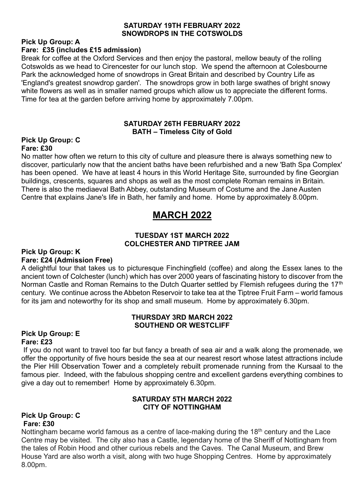#### **SATURDAY 19TH FEBRUARY 2022 SNOWDROPS IN THE COTSWOLDS**

# **Pick Up Group: A**

#### **Fare: £35 (includes £15 admission)**

Break for coffee at the Oxford Services and then enjoy the pastoral, mellow beauty of the rolling Cotswolds as we head to Cirencester for our lunch stop. We spend the afternoon at Colesbourne Park the acknowledged home of snowdrops in Great Britain and described by Country Life as 'England's greatest snowdrop garden'. The snowdrops grow in both large swathes of bright snowy white flowers as well as in smaller named groups which allow us to appreciate the different forms. Time for tea at the garden before arriving home by approximately 7.00pm.

#### **SATURDAY 26TH FEBRUARY 2022 BATH – Timeless City of Gold**

#### **Pick Up Group: C Fare: £30**

No matter how often we return to this city of culture and pleasure there is always something new to discover, particularly now that the ancient baths have been refurbished and a new 'Bath Spa Complex' has been opened. We have at least 4 hours in this World Heritage Site, surrounded by fine Georgian buildings, crescents, squares and shops as well as the most complete Roman remains in Britain. There is also the mediaeval Bath Abbey, outstanding Museum of Costume and the Jane Austen Centre that explains Jane's life in Bath, her family and home. Home by approximately 8.00pm.

# **MARCH 2022**

#### **TUESDAY 1ST MARCH 2022 COLCHESTER AND TIPTREE JAM**

#### **Pick Up Group: K Fare: £24 (Admission Free)**

A delightful tour that takes us to picturesque Finchingfield (coffee) and along the Essex lanes to the ancient town of Colchester (lunch) which has over 2000 years of fascinating history to discover from the Norman Castle and Roman Remains to the Dutch Quarter settled by Flemish refugees during the 17<sup>th</sup> century. We continue across the Abbeton Reservoir to take tea at the Tiptree Fruit Farm – world famous for its jam and noteworthy for its shop and small museum. Home by approximately 6.30pm.

#### **THURSDAY 3RD MARCH 2022 SOUTHEND OR WESTCLIFF**

#### **Pick Up Group: E Fare: £23**

If you do not want to travel too far but fancy a breath of sea air and a walk along the promenade, we offer the opportunity of five hours beside the sea at our nearest resort whose latest attractions include the Pier Hill Observation Tower and a completely rebuilt promenade running from the Kursaal to the famous pier. Indeed, with the fabulous shopping centre and excellent gardens everything combines to give a day out to remember! Home by approximately 6.30pm.

#### **SATURDAY 5TH MARCH 2022 CITY OF NOTTINGHAM**

#### **Pick Up Group: C Fare: £30**

Nottingham became world famous as a centre of lace-making during the 18<sup>th</sup> century and the Lace Centre may be visited. The city also has a Castle, legendary home of the Sheriff of Nottingham from the tales of Robin Hood and other curious rebels and the Caves. The Canal Museum, and Brew House Yard are also worth a visit, along with two huge Shopping Centres. Home by approximately 8.00pm.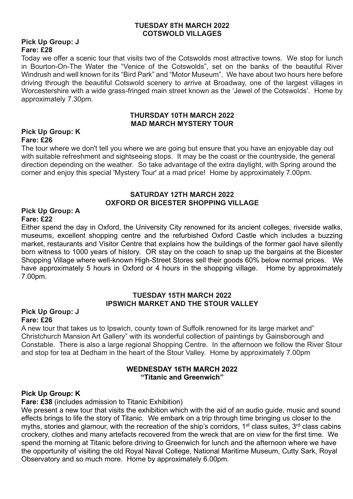#### **TUESDAY 8TH MARCH 2022 COTSWOLD VILLAGES**

#### **Pick Up Group: J Fare: £28**

Today we offer a scenic tour that visits two of the Cotswolds most attractive towns. We stop for lunch in Bourton-On-The Water the "Venice of the Cotswolds", set on the banks of the beautiful River Windrush and well known for its "Bird Park" and "Motor Museum". We have about two hours here before driving through the beautiful Cotswold scenery to arrive at Broadway, one of the largest villages in Worcestershire with a wide grass-fringed main street known as the 'Jewel of the Cotswolds'. Home by approximately 7.30pm.

#### **THURSDAY 10TH MARCH 2022 MAD MARCH MYSTERY TOUR**

#### **Pick Up Group: K Fare: £26**

The tour where we don't tell you where we are going but ensure that you have an enjoyable day out with suitable refreshment and sightseeing stops. It may be the coast or the countryside, the general direction depending on the weather. So take advantage of the extra daylight, with Spring around the corner and enjoy this special 'Mystery Tour' at a mad price! Home by approximately 7.00pm.

#### **SATURDAY 12TH MARCH 2022 OXFORD OR BICESTER SHOPPING VILLAGE**

#### **Pick Up Group: A Fare: £22**

Either spend the day in Oxford, the University City renowned for its ancient colleges, riverside walks, museums, excellent shopping centre and the refurbished Oxford Castle which includes a buzzing market, restaurants and Visitor Centre that explains how the buildings of the former gaol have silently born witness to 1000 years of history. OR stay on the coach to snap up the bargains at the Bicester Shopping Village where well-known High-Street Stores sell their goods 60% below normal prices. We have approximately 5 hours in Oxford or 4 hours in the shopping village. Home by approximately 7.00pm.

#### **TUESDAY 15TH MARCH 2022 IPSWICH MARKET AND THE STOUR VALLEY**

#### **Pick Up Group: J Fare: £26**

A new tour that takes us to Ipswich, county town of Suffolk renowned for its large market and" Christchurch Mansion Art Gallery" with its wonderful collection of paintings by Gainsborough and Constable. There is also a large regional Shopping Centre. In the afternoon we follow the River Stour and stop for tea at Dedham in the heart of the Stour Valley. Home by approximately 7.00pm

#### **WEDNESDAY 16TH MARCH 2022 "Titanic and Greenwich"**

#### **Pick Up Group: K**

#### **Fare: £38** (includes admission to Titanic Exhibition)

We present a new tour that visits the exhibition which with the aid of an audio guide, music and sound effects brings to life the story of Titanic. We embark on a trip through time bringing us closer to the myths, stories and glamour, with the recreation of the ship's corridors, 1<sup>st</sup> class suites, 3<sup>rd</sup> class cabins crockery, clothes and many artefacts recovered from the wreck that are on view for the first time. We spend the morning at Titanic before driving to Greenwich for lunch and the afternoon where we have the opportunity of visiting the old Royal Naval College, National Maritime Museum, Cutty Sark, Royal Observatory and so much more. Home by approximately 6.00pm.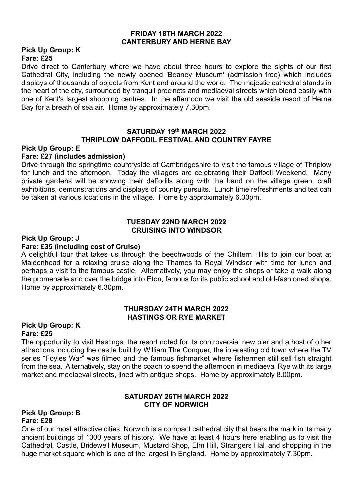#### **FRIDAY 18TH MARCH 2022 CANTERBURY AND HERNE BAY**

#### **Pick Up Group: K Fare: £25**

Drive direct to Canterbury where we have about three hours to explore the sights of our first Cathedral City, including the newly opened 'Beaney Museum' (admission free) which includes displays of thousands of objects from Kent and around the world. The majestic cathedral stands in the heart of the city, surrounded by tranquil precincts and mediaeval streets which blend easily with one of Kent's largest shopping centres. In the afternoon we visit the old seaside resort of Herne Bay for a breath of sea air. Home by approximately 7.30pm.

#### **SATURDAY 19th MARCH 2022 THRIPLOW DAFFODIL FESTIVAL AND COUNTRY FAYRE**

#### **Pick Up Group: E**

#### **Fare: £27 (includes admission)**

Drive through the springtime countryside of Cambridgeshire to visit the famous village of Thriplow for lunch and the afternoon. Today the villagers are celebrating their Daffodil Weekend. Many private gardens will be showing their daffodils along with the band on the village green, craft exhibitions, demonstrations and displays of country pursuits. Lunch time refreshments and tea can be taken at various locations in the village. Home by approximately 6.30pm.

#### **TUESDAY 22ND MARCH 2022 CRUISING INTO WINDSOR**

#### **Pick Up Group: J**

#### **Fare: £35 (including cost of Cruise)**

A delightful tour that takes us through the beechwoods of the Chiltern Hills to join our boat at Maidenhead for a relaxing cruise along the Thames to Royal Windsor with time for lunch and perhaps a visit to the famous castle. Alternatively, you may enjoy the shops or take a walk along the promenade and over the bridge into Eton, famous for its public school and old-fashioned shops. Home by approximately 6.30pm.

#### **THURSDAY 24TH MARCH 2022 HASTINGS OR RYE MARKET**

#### **Pick Up Group: K Fare: £25**

The opportunity to visit Hastings, the resort noted for its controversial new pier and a host of other attractions including the castle built by William The Conquer, the interesting old town where the TV series "Foyles War" was filmed and the famous fishmarket where fishermen still sell fish straight from the sea. Alternatively, stay on the coach to spend the afternoon in mediaeval Rye with its large market and mediaeval streets, lined with antique shops. Home by approximately 8.00pm.

#### **SATURDAY 26TH MARCH 2022 CITY OF NORWICH**

#### **Pick Up Group: B Fare: £28**

One of our most attractive cities, Norwich is a compact cathedral city that bears the mark in its many ancient buildings of 1000 years of history. We have at least 4 hours here enabling us to visit the Cathedral, Castle, Bridewell Museum, Mustard Shop, Elm Hill, Strangers Hall and shopping in the huge market square which is one of the largest in England. Home by approximately 7.30pm.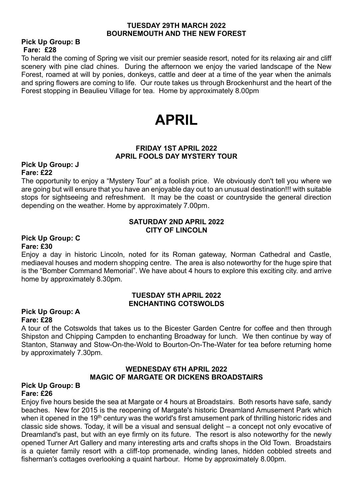#### **TUESDAY 29TH MARCH 2022 BOURNEMOUTH AND THE NEW FOREST**

#### **Pick Up Group: B Fare: £28**

To herald the coming of Spring we visit our premier seaside resort, noted for its relaxing air and cliff scenery with pine clad chines. During the afternoon we enjoy the varied landscape of the New Forest, roamed at will by ponies, donkeys, cattle and deer at a time of the year when the animals and spring flowers are coming to life. Our route takes us through Brockenhurst and the heart of the Forest stopping in Beaulieu Village for tea. Home by approximately 8.00pm

# **APRIL**

#### **FRIDAY 1ST APRIL 2022 APRIL FOOLS DAY MYSTERY TOUR**

#### **Pick Up Group: J Fare: £22**

The opportunity to enjoy a "Mystery Tour" at a foolish price. We obviously don't tell you where we are going but will ensure that you have an enjoyable day out to an unusual destination!!! with suitable stops for sightseeing and refreshment. It may be the coast or countryside the general direction depending on the weather. Home by approximately 7.00pm.

#### **SATURDAY 2ND APRIL 2022 CITY OF LINCOLN**

#### **Pick Up Group: C Fare: £30**

Enjoy a day in historic Lincoln, noted for its Roman gateway, Norman Cathedral and Castle, mediaeval houses and modern shopping centre. The area is also noteworthy for the huge spire that is the "Bomber Command Memorial". We have about 4 hours to explore this exciting city. and arrive home by approximately 8.30pm.

#### **TUESDAY 5TH APRIL 2022 ENCHANTING COTSWOLDS**

#### **Pick Up Group: A Fare: £28**

A tour of the Cotswolds that takes us to the Bicester Garden Centre for coffee and then through Shipston and Chipping Campden to enchanting Broadway for lunch. We then continue by way of Stanton, Stanway and Stow-On-the-Wold to Bourton-On-The-Water for tea before returning home by approximately 7.30pm.

#### **WEDNESDAY 6TH APRIL 2022 MAGIC OF MARGATE OR DICKENS BROADSTAIRS**

#### **Pick Up Group: B Fare: £26**

Enjoy five hours beside the sea at Margate or 4 hours at Broadstairs. Both resorts have safe, sandy beaches. New for 2015 is the reopening of Margate's historic Dreamland Amusement Park which when it opened in the 19<sup>th</sup> century was the world's first amusement park of thrilling historic rides and classic side shows. Today, it will be a visual and sensual delight – a concept not only evocative of Dreamland's past, but with an eye firmly on its future. The resort is also noteworthy for the newly opened Turner Art Gallery and many interesting arts and crafts shops in the Old Town. Broadstairs is a quieter family resort with a cliff-top promenade, winding lanes, hidden cobbled streets and fisherman's cottages overlooking a quaint harbour. Home by approximately 8.00pm.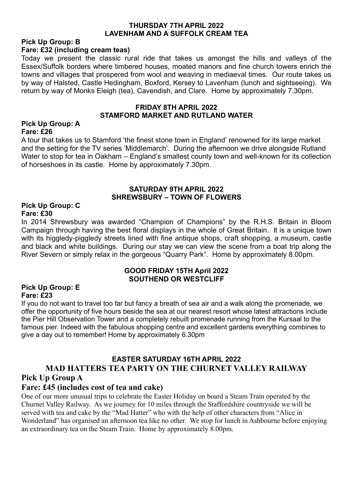#### **THURSDAY 7TH APRIL 2022 LAVENHAM AND A SUFFOLK CREAM TEA**

#### **Pick Up Group: B Fare: £32 (including cream teas)**

Today we present the classic rural ride that takes us amongst the hills and valleys of the Essex/Suffolk borders where timbered houses, moated manors and fine church towers enrich the towns and villages that prospered from wool and weaving in mediaeval times. Our route takes us by way of Halsted, Castle Hedingham, Boxford, Kersey to Lavenham (lunch and sightseeing). We return by way of Monks Eleigh (tea), Cavendish, and Clare. Home by approximately 7.30pm.

#### **FRIDAY 8TH APRIL 2022 STAMFORD MARKET AND RUTLAND WATER**

#### **Pick Up Group: A Fare: £26**

A tour that takes us to Stamford 'the finest stone town in England' renowned for its large market and the setting for the TV series 'Middlemarch'. During the afternoon we drive alongside Rutland Water to stop for tea in Oakham – England's smallest county town and well-known for its collection of horseshoes in its castle. Home by approximately 7.30pm.

#### **SATURDAY 9TH APRIL 2022 SHREWSBURY – TOWN OF FLOWERS**

#### **Pick Up Group: C Fare: £30**

In 2014 Shrewsbury was awarded "Champion of Champions" by the R.H.S. Britain in Bloom Campaign through having the best floral displays in the whole of Great Britain. It is a unique town with its higgledy-piggledy streets lined with fine antique shops, craft shopping, a museum, castle and black and white buildings. During our stay we can view the scene from a boat trip along the River Severn or simply relax in the gorgeous "Quarry Park". Home by approximately 8.00pm.

#### **GOOD FRIDAY 15TH April 2022 SOUTHEND OR WESTCLIFF**

#### **Pick Up Group: E Fare: £23**

If you do not want to travel too far but fancy a breath of sea air and a walk along the promenade, we offer the opportunity of five hours beside the sea at our nearest resort whose latest attractions include the Pier Hill Observation Tower and a completely rebuilt promenade running from the Kursaal to the famous pier. Indeed with the fabulous shopping centre and excellent gardens everything combines to give a day out to remember! Home by approximately 6.30pm

## **EASTER SATURDAY 16TH APRIL 2022 MAD HATTERS TEA PARTY ON THE CHURNET VALLEY RAILWAY Pick Up Group A**

#### **Fare: £45 (includes cost of tea and cake)**

One of our more unusual trips to celebrate the Easter Holiday on board a Steam Train operated by the Churnet Valley Railway. As we journey for 10 miles through the Staffordshire countryside we will be served with tea and cake by the "Mad Hatter" who with the help of other characters from "Alice in Wonderland" has organised an afternoon tea like no other. We stop for lunch in Ashbourne before enjoying an extraordinary tea on the Steam Train. Home by approximately 8.00pm.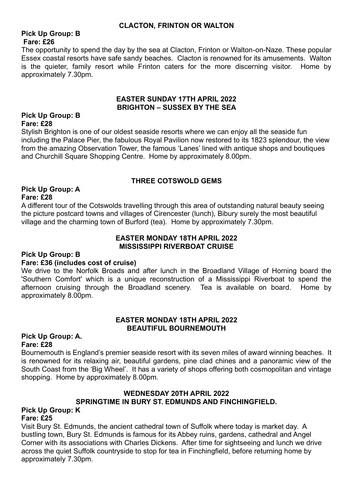#### **CLACTON, FRINTON OR WALTON**

#### **Pick Up Group: B Fare: £26**

The opportunity to spend the day by the sea at Clacton, Frinton or Walton-on-Naze. These popular Essex coastal resorts have safe sandy beaches. Clacton is renowned for its amusements. Walton is the quieter, family resort while Frinton caters for the more discerning visitor. Home by approximately 7.30pm.

#### **EASTER SUNDAY 17TH APRIL 2022 BRIGHTON – SUSSEX BY THE SEA**

#### **Pick Up Group: B Fare: £28**

Stylish Brighton is one of our oldest seaside resorts where we can enjoy all the seaside fun including the Palace Pier, the fabulous Royal Pavilion now restored to its 1823 splendour, the view from the amazing Observation Tower, the famous 'Lanes' lined with antique shops and boutiques and Churchill Square Shopping Centre. Home by approximately 8.00pm.

#### **THREE COTSWOLD GEMS**

#### **Pick Up Group: A Fare: £28**

A different tour of the Cotswolds travelling through this area of outstanding natural beauty seeing the picture postcard towns and villages of Cirencester (lunch), Bibury surely the most beautiful village and the charming town of Burford (tea). Home by approximately 7.30pm.

#### **EASTER MONDAY 18TH APRIL 2022 MISSISSIPPI RIVERBOAT CRUISE**

#### **Pick Up Group: B**

#### **Fare: £36 (includes cost of cruise)**

We drive to the Norfolk Broads and after lunch in the Broadland Village of Horning board the 'Southern Comfort' which is a unique reconstruction of a Mississippi Riverboat to spend the afternoon cruising through the Broadland scenery. Tea is available on board. Home by approximately 8.00pm.

#### **EASTER MONDAY 18TH APRIL 2022 BEAUTIFUL BOURNEMOUTH**

#### **Pick Up Group: A. Fare: £28**

Bournemouth is England's premier seaside resort with its seven miles of award winning beaches. It is renowned for its relaxing air, beautiful gardens, pine clad chines and a panoramic view of the South Coast from the 'Big Wheel'. It has a variety of shops offering both cosmopolitan and vintage shopping. Home by approximately 8.00pm.

#### **WEDNESDAY 20TH APRIL 2022 SPRINGTIME IN BURY ST. EDMUNDS AND FINCHINGFIELD.**

#### **Pick Up Group: K Fare: £25**

Visit Bury St. Edmunds, the ancient cathedral town of Suffolk where today is market day. A bustling town, Bury St. Edmunds is famous for its Abbey ruins, gardens, cathedral and Angel Corner with its associations with Charles Dickens. After time for sightseeing and lunch we drive across the quiet Suffolk countryside to stop for tea in Finchingfield, before returning home by approximately 7.30pm.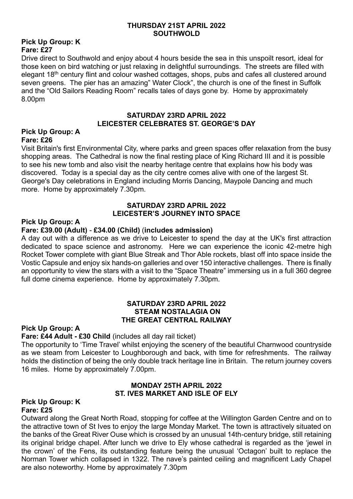#### **THURSDAY 21ST APRIL 2022 SOUTHWOLD**

#### **Pick Up Group: K Fare: £27**

Drive direct to Southwold and enjoy about 4 hours beside the sea in this unspoilt resort, ideal for those keen on bird watching or just relaxing in delightful surroundings. The streets are filled with elegant 18th century flint and colour washed cottages, shops, pubs and cafes all clustered around seven greens. The pier has an amazing" Water Clock", the church is one of the finest in Suffolk and the "Old Sailors Reading Room" recalls tales of days gone by. Home by approximately 8.00pm

#### **SATURDAY 23RD APRIL 2022 LEICESTER CELEBRATES ST. GEORGE'S DAY**

#### **Pick Up Group: A Fare: £26**

Visit Britain's first Environmental City, where parks and green spaces offer relaxation from the busy shopping areas. The Cathedral is now the final resting place of King Richard III and it is possible to see his new tomb and also visit the nearby heritage centre that explains how his body was discovered. Today is a special day as the city centre comes alive with one of the largest St. George's Day celebrations in England including Morris Dancing, Maypole Dancing and much more. Home by approximately 7.30pm.

#### **SATURDAY 23RD APRIL 2022 LEICESTER'S JOURNEY INTO SPACE**

#### **Pick Up Group: A**

#### **Fare: £39.00 (Adult)** - **£34.00 (Child)** (**includes admission)**

A day out with a difference as we drive to Leicester to spend the day at the UK's first attraction dedicated to space science and astronomy. Here we can experience the iconic 42-metre high Rocket Tower complete with giant Blue Streak and Thor Able rockets, blast off into space inside the Vostic Capsule and enjoy six hands-on galleries and over 150 interactive challenges. There is finally an opportunity to view the stars with a visit to the "Space Theatre" immersing us in a full 360 degree full dome cinema experience. Home by approximately 7.30pm.

#### **SATURDAY 23RD APRIL 2022 STEAM NOSTALAGIA ON THE GREAT CENTRAL RAILWAY**

#### **Pick Up Group: A**

#### **Fare: £44 Adult - £30 Child** (includes all day rail ticket)

The opportunity to 'Time Travel' whilst enjoying the scenery of the beautiful Charnwood countryside as we steam from Leicester to Loughborough and back, with time for refreshments. The railway holds the distinction of being the only double track heritage line in Britain. The return journey covers 16 miles. Home by approximately 7.00pm.

#### **MONDAY 25TH APRIL 2022 ST. IVES MARKET AND ISLE OF ELY**

#### **Pick Up Group: K Fare: £25**

Outward along the Great North Road, stopping for coffee at the Willington Garden Centre and on to the attractive town of St Ives to enjoy the large Monday Market. The town is attractively situated on the banks of the Great River Ouse which is crossed by an unusual 14th-century bridge, still retaining its original bridge chapel. After lunch we drive to Ely whose cathedral is regarded as the 'jewel in the crown' of the Fens, its outstanding feature being the unusual 'Octagon' built to replace the Norman Tower which collapsed in 1322. The nave's painted ceiling and magnificent Lady Chapel are also noteworthy. Home by approximately 7.30pm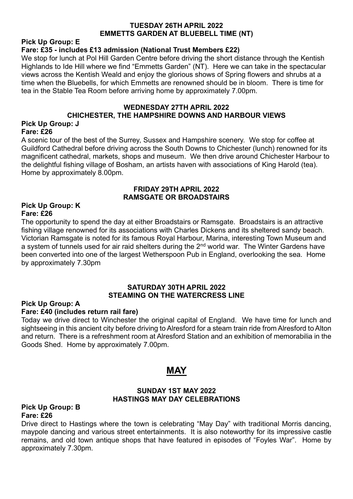#### **TUESDAY 26TH APRIL 2022 EMMETTS GARDEN AT BLUEBELL TIME (NT)**

**Pick Up Group: E** 

#### **Fare: £35 - includes £13 admission (National Trust Members £22)**

We stop for lunch at Pol Hill Garden Centre before driving the short distance through the Kentish Highlands to Ide Hill where we find "Emmetts Garden" (NT). Here we can take in the spectacular views across the Kentish Weald and enjoy the glorious shows of Spring flowers and shrubs at a time when the Bluebells, for which Emmetts are renowned should be in bloom. There is time for tea in the Stable Tea Room before arriving home by approximately 7.00pm.

#### **WEDNESDAY 27TH APRIL 2022 CHICHESTER, THE HAMPSHIRE DOWNS AND HARBOUR VIEWS Pick Up Group: J**

#### **Fare: £26**

A scenic tour of the best of the Surrey, Sussex and Hampshire scenery. We stop for coffee at Guildford Cathedral before driving across the South Downs to Chichester (lunch) renowned for its magnificent cathedral, markets, shops and museum. We then drive around Chichester Harbour to the delightful fishing village of Bosham, an artists haven with associations of King Harold (tea). Home by approximately 8.00pm.

#### **FRIDAY 29TH APRIL 2022 RAMSGATE OR BROADSTAIRS**

#### **Pick Up Group: K Fare: £26**

The opportunity to spend the day at either Broadstairs or Ramsgate. Broadstairs is an attractive fishing village renowned for its associations with Charles Dickens and its sheltered sandy beach. Victorian Ramsgate is noted for its famous Royal Harbour, Marina, interesting Town Museum and a system of tunnels used for air raid shelters during the 2<sup>nd</sup> world war. The Winter Gardens have been converted into one of the largest Wetherspoon Pub in England, overlooking the sea. Home by approximately 7.30pm

#### **SATURDAY 30TH APRIL 2022 STEAMING ON THE WATERCRESS LINE**

#### **Pick Up Group: A**

#### **Fare: £40 (includes return rail fare)**

Today we drive direct to Winchester the original capital of England. We have time for lunch and sightseeing in this ancient city before driving to Alresford for a steam train ride from Alresford to Alton and return. There is a refreshment room at Alresford Station and an exhibition of memorabilia in the Goods Shed. Home by approximately 7.00pm.

# **MAY**

#### **SUNDAY 1ST MAY 2022 HASTINGS MAY DAY CELEBRATIONS**

#### **Pick Up Group: B Fare: £26**

Drive direct to Hastings where the town is celebrating "May Day" with traditional Morris dancing, maypole dancing and various street entertainments. It is also noteworthy for its impressive castle remains, and old town antique shops that have featured in episodes of "Foyles War". Home by approximately 7.30pm.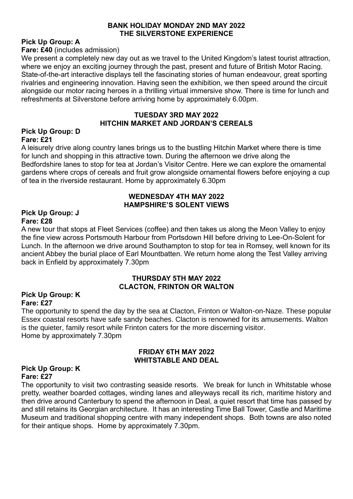#### **BANK HOLIDAY MONDAY 2ND MAY 2022 THE SILVERSTONE EXPERIENCE**

#### **Pick Up Group: A**

**Fare: £40** (includes admission)

We present a completely new day out as we travel to the United Kingdom's latest tourist attraction, where we enjoy an exciting journey through the past, present and future of British Motor Racing. State-of-the-art interactive displays tell the fascinating stories of human endeavour, great sporting rivalries and engineering innovation. Having seen the exhibition, we then speed around the circuit alongside our motor racing heroes in a thrilling virtual immersive show. There is time for lunch and refreshments at Silverstone before arriving home by approximately 6.00pm.

#### **TUESDAY 3RD MAY 2022 HITCHIN MARKET AND JORDAN'S CEREALS**

#### **Pick Up Group: D Fare: £21**

A leisurely drive along country lanes brings us to the bustling Hitchin Market where there is time for lunch and shopping in this attractive town. During the afternoon we drive along the Bedfordshire lanes to stop for tea at Jordan's Visitor Centre. Here we can explore the ornamental gardens where crops of cereals and fruit grow alongside ornamental flowers before enjoying a cup of tea in the riverside restaurant. Home by approximately 6.30pm

#### **WEDNESDAY 4TH MAY 2022 HAMPSHIRE'S SOLENT VIEWS**

#### **Pick Up Group: J Fare: £28**

A new tour that stops at Fleet Services (coffee) and then takes us along the Meon Valley to enjoy the fine view across Portsmouth Harbour from Portsdown Hill before driving to Lee-On-Solent for Lunch. In the afternoon we drive around Southampton to stop for tea in Romsey, well known for its ancient Abbey the burial place of Earl Mountbatten. We return home along the Test Valley arriving back in Enfield by approximately 7.30pm

#### **THURSDAY 5TH MAY 2022 CLACTON, FRINTON OR WALTON**

#### **Pick Up Group: K Fare: £27**

The opportunity to spend the day by the sea at Clacton, Frinton or Walton-on-Naze. These popular Essex coastal resorts have safe sandy beaches. Clacton is renowned for its amusements. Walton is the quieter, family resort while Frinton caters for the more discerning visitor. Home by approximately 7.30pm

#### **FRIDAY 6TH MAY 2022 WHITSTABLE AND DEAL**

#### **Pick Up Group: K Fare: £27**

The opportunity to visit two contrasting seaside resorts. We break for lunch in Whitstable whose pretty, weather boarded cottages, winding lanes and alleyways recall its rich, maritime history and then drive around Canterbury to spend the afternoon in Deal, a quiet resort that time has passed by and still retains its Georgian architecture. It has an interesting Time Ball Tower, Castle and Maritime Museum and traditional shopping centre with many independent shops. Both towns are also noted for their antique shops. Home by approximately 7.30pm.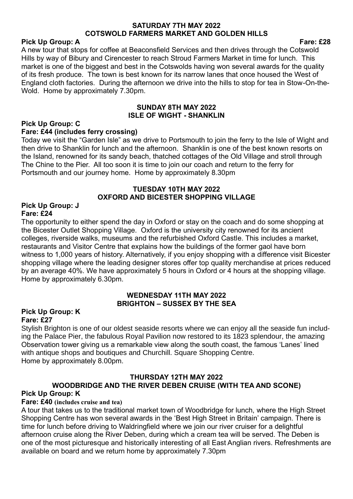#### **SATURDAY 7TH MAY 2022 COTSWOLD FARMERS MARKET AND GOLDEN HILLS**

#### Pick Up Group: A Fare: **£28**

A new tour that stops for coffee at Beaconsfield Services and then drives through the Cotswold Hills by way of Bibury and Cirencester to reach Stroud Farmers Market in time for lunch. This market is one of the biggest and best in the Cotswolds having won several awards for the quality of its fresh produce. The town is best known for its narrow lanes that once housed the West of England cloth factories. During the afternoon we drive into the hills to stop for tea in Stow-On-the-Wold. Home by approximately 7.30pm.

#### **SUNDAY 8TH MAY 2022 ISLE OF WIGHT - SHANKLIN**

#### **Pick Up Group: C**

#### **Fare: £44 (includes ferry crossing)**

Today we visit the "Garden Isle" as we drive to Portsmouth to join the ferry to the Isle of Wight and then drive to Shanklin for lunch and the afternoon. Shanklin is one of the best known resorts on the Island, renowned for its sandy beach, thatched cottages of the Old Village and stroll through The Chine to the Pier. All too soon it is time to join our coach and return to the ferry for Portsmouth and our journey home. Home by approximately 8.30pm

#### **TUESDAY 10TH MAY 2022 OXFORD AND BICESTER SHOPPING VILLAGE**

#### **Pick Up Group: J Fare: £24**

The opportunity to either spend the day in Oxford or stay on the coach and do some shopping at the Bicester Outlet Shopping Village. Oxford is the university city renowned for its ancient colleges, riverside walks, museums and the refurbished Oxford Castle. This includes a market, restaurants and Visitor Centre that explains how the buildings of the former gaol have born witness to 1,000 years of history. Alternatively, if you enjoy shopping with a difference visit Bicester shopping village where the leading designer stores offer top quality merchandise at prices reduced by an average 40%. We have approximately 5 hours in Oxford or 4 hours at the shopping village. Home by approximately 6.30pm.

#### **WEDNESDAY 11TH MAY 2022 BRIGHTON – SUSSEX BY THE SEA**

#### **Pick Up Group: K Fare: £27**

Stylish Brighton is one of our oldest seaside resorts where we can enjoy all the seaside fun including the Palace Pier, the fabulous Royal Pavilion now restored to its 1823 splendour, the amazing Observation tower giving us a remarkable view along the south coast, the famous 'Lanes' lined with antique shops and boutiques and Churchill. Square Shopping Centre. Home by approximately 8.00pm.

# **THURSDAY 12TH MAY 2022 WOODBRIDGE AND THE RIVER DEBEN CRUISE (WITH TEA AND SCONE)**

#### **Pick Up Group: K Fare: £40 (includes cruise and tea)**

A tour that takes us to the traditional market town of Woodbridge for lunch, where the High Street Shopping Centre has won several awards in the 'Best High Street in Britain' campaign. There is time for lunch before driving to Waldringfield where we join our river cruiser for a delightful afternoon cruise along the River Deben, during which a cream tea will be served. The Deben is one of the most picturesque and historically interesting of all East Anglian rivers. Refreshments are available on board and we return home by approximately 7.30pm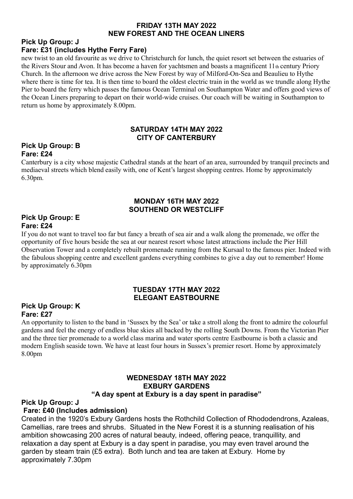#### **FRIDAY 13TH MAY 2022 NEW FOREST AND THE OCEAN LINERS**

#### **Pick Up Group: J Fare: £31 (includes Hythe Ferry Fare)**

new twist to an old favourite as we drive to Christchurch for lunch, the quiet resort set between the estuaries of the Rivers Stour and Avon. It has become a haven for yachtsmen and boasts a magnificent 11<sup>th</sup> century Priory Church. In the afternoon we drive across the New Forest by way of Milford-On-Sea and Beaulieu to Hythe where there is time for tea. It is then time to board the oldest electric train in the world as we trundle along Hythe Pier to board the ferry which passes the famous Ocean Terminal on Southampton Water and offers good views of the Ocean Liners preparing to depart on their world-wide cruises. Our coach will be waiting in Southampton to return us home by approximately 8.00pm.

#### **SATURDAY 14TH MAY 2022 CITY OF CANTERBURY**

#### **Pick Up Group: B Fare: £24**

Canterbury is a city whose majestic Cathedral stands at the heart of an area, surrounded by tranquil precincts and mediaeval streets which blend easily with, one of Kent's largest shopping centres. Home by approximately 6.30pm.

#### **MONDAY 16TH MAY 2022 SOUTHEND OR WESTCLIFF**

#### **Pick Up Group: E Fare: £24**

If you do not want to travel too far but fancy a breath of sea air and a walk along the promenade, we offer the opportunity of five hours beside the sea at our nearest resort whose latest attractions include the Pier Hill Observation Tower and a completely rebuilt promenade running from the Kursaal to the famous pier. Indeed with the fabulous shopping centre and excellent gardens everything combines to give a day out to remember! Home by approximately 6.30pm

#### **TUESDAY 17TH MAY 2022 ELEGANT EASTBOURNE**

#### **Pick Up Group: K Fare: £27**

An opportunity to listen to the band in 'Sussex by the Sea' or take a stroll along the front to admire the colourful gardens and feel the energy of endless blue skies all backed by the rolling South Downs. From the Victorian Pier and the three tier promenade to a world class marina and water sports centre Eastbourne is both a classic and modern English seaside town. We have at least four hours in Sussex's premier resort. Home by approximately 8.00pm

#### **WEDNESDAY 18TH MAY 2022 EXBURY GARDENS "A day spent at Exbury is a day spent in paradise"**

#### **Pick Up Group: J**

#### **Fare: £40 (Includes admission)**

Created in the 1920's Exbury Gardens hosts the Rothchild Collection of Rhododendrons, Azaleas, Camellias, rare trees and shrubs. Situated in the New Forest it is a stunning realisation of his ambition showcasing 200 acres of natural beauty, indeed, offering peace, tranquillity, and relaxation a day spent at Exbury is a day spent in paradise, you may even travel around the garden by steam train (£5 extra). Both lunch and tea are taken at Exbury. Home by approximately 7.30pm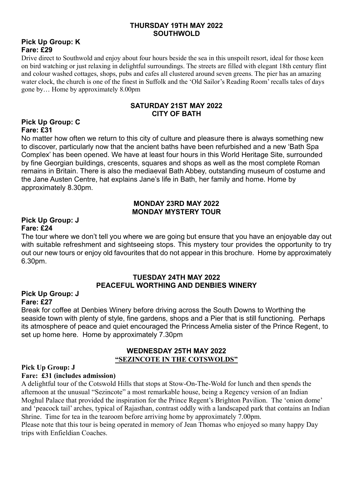#### **THURSDAY 19TH MAY 2022 SOUTHWOLD**

#### **Pick Up Group: K Fare: £29**

Drive direct to Southwold and enjoy about four hours beside the sea in this unspoilt resort, ideal for those keen on bird watching or just relaxing in delightful surroundings. The streets are filled with elegant 18th century flint and colour washed cottages, shops, pubs and cafes all clustered around seven greens. The pier has an amazing water clock, the church is one of the finest in Suffolk and the 'Old Sailor's Reading Room' recalls tales of days gone by… Home by approximately 8.00pm

#### **SATURDAY 21ST MAY 2022 CITY OF BATH**

#### **Pick Up Group: C Fare: £31**

No matter how often we return to this city of culture and pleasure there is always something new to discover, particularly now that the ancient baths have been refurbished and a new 'Bath Spa Complex' has been opened. We have at least four hours in this World Heritage Site, surrounded by fine Georgian buildings, crescents, squares and shops as well as the most complete Roman remains in Britain. There is also the mediaeval Bath Abbey, outstanding museum of costume and the Jane Austen Centre, hat explains Jane's life in Bath, her family and home. Home by approximately 8.30pm.

#### **MONDAY 23RD MAY 2022 MONDAY MYSTERY TOUR**

#### **Pick Up Group: J Fare: £24**

The tour where we don't tell you where we are going but ensure that you have an enjoyable day out with suitable refreshment and sightseeing stops. This mystery tour provides the opportunity to try out our new tours or enjoy old favourites that do not appear in this brochure. Home by approximately 6.30pm.

#### **TUESDAY 24TH MAY 2022 PEACEFUL WORTHING AND DENBIES WINERY**

#### **Pick Up Group: J Fare: £27**

Break for coffee at Denbies Winery before driving across the South Downs to Worthing the seaside town with plenty of style, fine gardens, shops and a Pier that is still functioning. Perhaps its atmosphere of peace and quiet encouraged the Princess Amelia sister of the Prince Regent, to set up home here. Home by approximately 7.30pm

#### **WEDNESDAY 25TH MAY 2022 "SEZINCOTE IN THE COTSWOLDS"**

# **Pick Up Group: J**

**Fare: £31 (includes admission)**

A delightful tour of the Cotswold Hills that stops at Stow-On-The-Wold for lunch and then spends the afternoon at the unusual "Sezincote" a most remarkable house, being a Regency version of an Indian Moghul Palace that provided the inspiration for the Prince Regent's Brighton Pavilion. The 'onion dome' and 'peacock tail' arches, typical of Rajasthan, contrast oddly with a landscaped park that contains an Indian Shrine. Time for tea in the tearoom before arriving home by approximately 7.00pm.

Please note that this tour is being operated in memory of Jean Thomas who enjoyed so many happy Day trips with Enfieldian Coaches.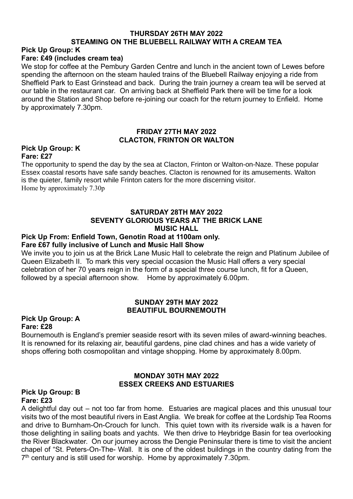## **THURSDAY 26TH MAY 2022 STEAMING ON THE BLUEBELL RAILWAY WITH A CREAM TEA**

# **Pick Up Group: K**

#### **Fare: £49 (includes cream tea)**

We stop for coffee at the Pembury Garden Centre and lunch in the ancient town of Lewes before spending the afternoon on the steam hauled trains of the Bluebell Railway enjoying a ride from Sheffield Park to East Grinstead and back. During the train journey a cream tea will be served at our table in the restaurant car. On arriving back at Sheffield Park there will be time for a look around the Station and Shop before re-joining our coach for the return journey to Enfield. Home by approximately 7.30pm.

#### **FRIDAY 27TH MAY 2022 CLACTON, FRINTON OR WALTON**

#### **Pick Up Group: K Fare: £27**

The opportunity to spend the day by the sea at Clacton, Frinton or Walton-on-Naze. These popular Essex coastal resorts have safe sandy beaches. Clacton is renowned for its amusements. Walton is the quieter, family resort while Frinton caters for the more discerning visitor. Home by approximately 7.30p

#### **SATURDAY 28TH MAY 2022 SEVENTY GLORIOUS YEARS AT THE BRICK LANE MUSIC HALL**

#### **Pick Up From: Enfield Town, Genotin Road at 1100am only. Fare £67 fully inclusive of Lunch and Music Hall Show**

We invite you to join us at the Brick Lane Music Hall to celebrate the reign and Platinum Jubilee of Queen Elizabeth II. To mark this very special occasion the Music Hall offers a very special celebration of her 70 years reign in the form of a special three course lunch, fit for a Queen, followed by a special afternoon show. Home by approximately 6.00pm.

#### **SUNDAY 29TH MAY 2022 BEAUTIFUL BOURNEMOUTH**

#### **Pick Up Group: A Fare: £28**

Bournemouth is England's premier seaside resort with its seven miles of award-winning beaches. It is renowned for its relaxing air, beautiful gardens, pine clad chines and has a wide variety of shops offering both cosmopolitan and vintage shopping. Home by approximately 8.00pm.

#### **MONDAY 30TH MAY 2022 ESSEX CREEKS AND ESTUARIES**

#### **Pick Up Group: B Fare: £23**

A delightful day out – not too far from home. Estuaries are magical places and this unusual tour visits two of the most beautiful rivers in East Anglia. We break for coffee at the Lordship Tea Rooms and drive to Burnham-On-Crouch for lunch. This quiet town with its riverside walk is a haven for those delighting in sailing boats and yachts. We then drive to Heybridge Basin for tea overlooking the River Blackwater. On our journey across the Dengie Peninsular there is time to visit the ancient chapel of "St. Peters-On-The- Wall. It is one of the oldest buildings in the country dating from the 7<sup>th</sup> century and is still used for worship. Home by approximately 7.30pm.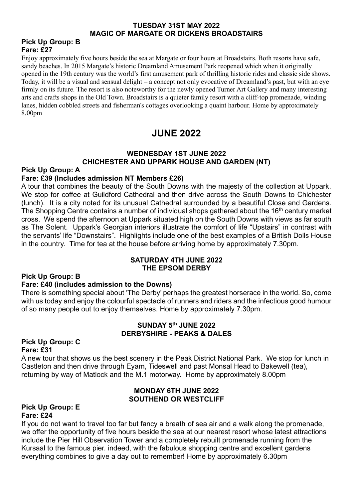#### **TUESDAY 31ST MAY 2022 MAGIC OF MARGATE OR DICKENS BROADSTAIRS**

#### **Pick Up Group: B Fare: £27**

Enjoy approximately five hours beside the sea at Margate or four hours at Broadstairs. Both resorts have safe, sandy beaches. In 2015 Margate's historic Dreamland Amusement Park reopened which when it originally opened in the 19th century was the world's first amusement park of thrilling historic rides and classic side shows. Today, it will be a visual and sensual delight – a concept not only evocative of Dreamland's past, but with an eye firmly on its future. The resort is also noteworthy for the newly opened Turner Art Gallery and many interesting arts and crafts shops in the Old Town. Broadstairs is a quieter family resort with a cliff-top promenade, winding lanes, hidden cobbled streets and fisherman's cottages overlooking a quaint harbour. Home by approximately 8.00pm

# **JUNE 2022**

#### **WEDNESDAY 1ST JUNE 2022 CHICHESTER AND UPPARK HOUSE AND GARDEN (NT)**

#### **Pick Up Group: A**

#### **Fare: £39 (Includes admission NT Members £26)**

A tour that combines the beauty of the South Downs with the majesty of the collection at Uppark. We stop for coffee at Guildford Cathedral and then drive across the South Downs to Chichester (lunch). It is a city noted for its unusual Cathedral surrounded by a beautiful Close and Gardens. The Shopping Centre contains a number of individual shops gathered about the 16<sup>th</sup> century market cross. We spend the afternoon at Uppark situated high on the South Downs with views as far south as The Solent. Uppark's Georgian interiors illustrate the comfort of life "Upstairs" in contrast with the servants' life "Downstairs". Highlights include one of the best examples of a British Dolls House in the country. Time for tea at the house before arriving home by approximately 7.30pm.

#### **SATURDAY 4TH JUNE 2022 THE EPSOM DERBY**

#### **Pick Up Group: B**

#### **Fare: £40 (includes admission to the Downs)**

There is something special about 'The Derby' perhaps the greatest horserace in the world. So, come with us today and enjoy the colourful spectacle of runners and riders and the infectious good humour of so many people out to enjoy themselves. Home by approximately 7.30pm.

#### **SUNDAY 5th JUNE 2022 DERBYSHIRE - PEAKS & DALES**

#### **Pick Up Group: C Fare: £31**

A new tour that shows us the best scenery in the Peak District National Park. We stop for lunch in Castleton and then drive through Eyam, Tideswell and past Monsal Head to Bakewell (tea), returning by way of Matlock and the M.1 motorway. Home by approximately 8.00pm

#### **MONDAY 6TH JUNE 2022 SOUTHEND OR WESTCLIFF**

#### **Pick Up Group: E Fare: £24**

If you do not want to travel too far but fancy a breath of sea air and a walk along the promenade, we offer the opportunity of five hours beside the sea at our nearest resort whose latest attractions include the Pier Hill Observation Tower and a completely rebuilt promenade running from the Kursaal to the famous pier. indeed, with the fabulous shopping centre and excellent gardens everything combines to give a day out to remember! Home by approximately 6.30pm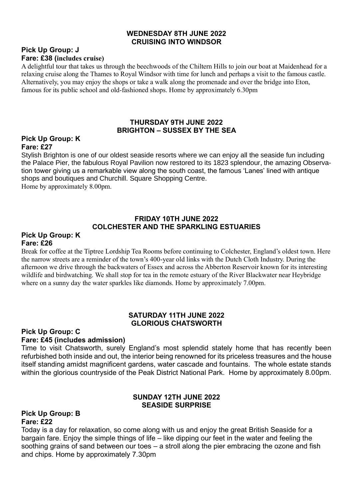#### **WEDNESDAY 8TH JUNE 2022 CRUISING INTO WINDSOR**

#### **Pick Up Group: J Fare: £38 (includes cruise)**

A delightful tour that takes us through the beechwoods of the Chiltern Hills to join our boat at Maidenhead for a relaxing cruise along the Thames to Royal Windsor with time for lunch and perhaps a visit to the famous castle. Alternatively, you may enjoy the shops or take a walk along the promenade and over the bridge into Eton, famous for its public school and old-fashioned shops. Home by approximately 6.30pm

#### **THURSDAY 9TH JUNE 2022 BRIGHTON – SUSSEX BY THE SEA**

#### **Pick Up Group: K Fare: £27**

Stylish Brighton is one of our oldest seaside resorts where we can enjoy all the seaside fun including the Palace Pier, the fabulous Royal Pavilion now restored to its 1823 splendour, the amazing Observation tower giving us a remarkable view along the south coast, the famous 'Lanes' lined with antique shops and boutiques and Churchill. Square Shopping Centre. Home by approximately 8.00pm.

#### **FRIDAY 10TH JUNE 2022 COLCHESTER AND THE SPARKLING ESTUARIES**

#### **Pick Up Group: K Fare: £26**

Break for coffee at the Tiptree Lordship Tea Rooms before continuing to Colchester, England's oldest town. Here the narrow streets are a reminder of the town's 400-year old links with the Dutch Cloth Industry. During the afternoon we drive through the backwaters of Essex and across the Abberton Reservoir known for its interesting wildlife and birdwatching. We shall stop for tea in the remote estuary of the River Blackwater near Heybridge where on a sunny day the water sparkles like diamonds. Home by approximately 7.00pm.

#### **SATURDAY 11TH JUNE 2022 GLORIOUS CHATSWORTH**

#### **Pick Up Group: C Fare: £45 (includes admission)**

Time to visit Chatsworth, surely England's most splendid stately home that has recently been refurbished both inside and out, the interior being renowned for its priceless treasures and the house itself standing amidst magnificent gardens, water cascade and fountains. The whole estate stands within the glorious countryside of the Peak District National Park. Home by approximately 8.00pm.

#### **SUNDAY 12TH JUNE 2022 SEASIDE SURPRISE**

#### **Pick Up Group: B Fare: £22**

Today is a day for relaxation, so come along with us and enjoy the great British Seaside for a bargain fare. Enjoy the simple things of life – like dipping our feet in the water and feeling the soothing grains of sand between our toes – a stroll along the pier embracing the ozone and fish and chips. Home by approximately 7.30pm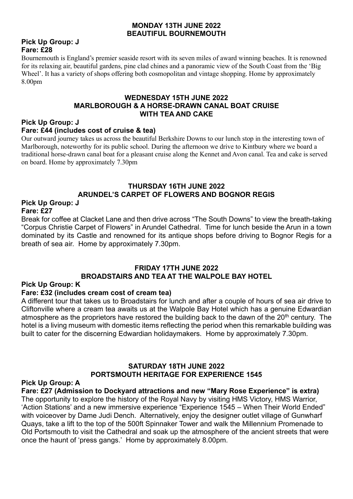#### **MONDAY 13TH JUNE 2022 BEAUTIFUL BOURNEMOUTH**

#### **Pick Up Group: J Fare: £28**

Bournemouth is England's premier seaside resort with its seven miles of award winning beaches. It is renowned for its relaxing air, beautiful gardens, pine clad chines and a panoramic view of the South Coast from the 'Big Wheel'. It has a variety of shops offering both cosmopolitan and vintage shopping. Home by approximately 8.00pm

#### **WEDNESDAY 15TH JUNE 2022 MARLBOROUGH & A HORSE-DRAWN CANAL BOAT CRUISE WITH TEA AND CAKE**

# **Pick Up Group: J**

#### **Fare: £44 (includes cost of cruise & tea)**

Our outward journey takes us across the beautiful Berkshire Downs to our lunch stop in the interesting town of Marlborough, noteworthy for its public school. During the afternoon we drive to Kintbury where we board a traditional horse-drawn canal boat for a pleasant cruise along the Kennet and Avon canal. Tea and cake is served on board. Home by approximately 7.30pm

#### **THURSDAY 16TH JUNE 2022 ARUNDEL'S CARPET OF FLOWERS AND BOGNOR REGIS**

#### **Pick Up Group: J Fare: £27**

Break for coffee at Clacket Lane and then drive across "The South Downs" to view the breath-taking "Corpus Christie Carpet of Flowers" in Arundel Cathedral. Time for lunch beside the Arun in a town dominated by its Castle and renowned for its antique shops before driving to Bognor Regis for a breath of sea air. Home by approximately 7.30pm.

#### **FRIDAY 17TH JUNE 2022 BROADSTAIRS AND TEA AT THE WALPOLE BAY HOTEL**

#### **Pick Up Group: K**

#### **Fare: £32 (includes cream cost of cream tea)**

A different tour that takes us to Broadstairs for lunch and after a couple of hours of sea air drive to Cliftonville where a cream tea awaits us at the Walpole Bay Hotel which has a genuine Edwardian atmosphere as the proprietors have restored the building back to the dawn of the  $20<sup>th</sup>$  century. The hotel is a living museum with domestic items reflecting the period when this remarkable building was built to cater for the discerning Edwardian holidaymakers. Home by approximately 7.30pm.

#### **SATURDAY 18TH JUNE 2022 PORTSMOUTH HERITAGE FOR EXPERIENCE 1545**

#### **Pick Up Group: A**

**Fare: £27 (Admission to Dockyard attractions and new "Mary Rose Experience" is extra)** The opportunity to explore the history of the Royal Navy by visiting HMS Victory, HMS Warrior, 'Action Stations' and a new immersive experience "Experience 1545 – When Their World Ended" with voiceover by Dame Judi Dench. Alternatively, enjoy the designer outlet village of Gunwharf Quays, take a lift to the top of the 500ft Spinnaker Tower and walk the Millennium Promenade to Old Portsmouth to visit the Cathedral and soak up the atmosphere of the ancient streets that were once the haunt of 'press gangs.' Home by approximately 8.00pm.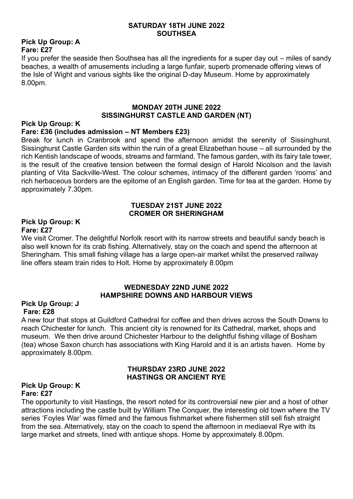#### **SATURDAY 18TH JUNE 2022 SOUTHSEA**

#### **Pick Up Group: A Fare: £27**

If you prefer the seaside then Southsea has all the ingredients for a super day out – miles of sandy beaches, a wealth of amusements including a large funfair, superb promenade offering views of the Isle of Wight and various sights like the original D-day Museum. Home by approximately 8.00pm.

#### **MONDAY 20TH JUNE 2022 SISSINGHURST CASTLE AND GARDEN (NT)**

#### **Pick Up Group: K**

#### **Fare: £36 (includes admission – NT Members £23)**

Break for lunch in Cranbrook and spend the afternoon amidst the serenity of Sissinghurst. Sissinghurst Castle Garden sits within the ruin of a great Elizabethan house – all surrounded by the rich Kentish landscape of woods, streams and farmland. The famous garden, with its fairy tale tower, is the result of the creative tension between the formal design of Harold Nicolson and the lavish planting of Vita Sackville-West. The colour schemes, intimacy of the different garden 'rooms' and rich herbaceous borders are the epitome of an English garden. Time for tea at the garden. Home by approximately 7.30pm.

#### **TUESDAY 21ST JUNE 2022 CROMER OR SHERINGHAM**

#### **Pick Up Group: K Fare: £27**

We visit Cromer. The delightful Norfolk resort with its narrow streets and beautiful sandy beach is also well known for its crab fishing. Alternatively, stay on the coach and spend the afternoon at Sheringham. This small fishing village has a large open-air market whilst the preserved railway line offers steam train rides to Holt. Home by approximately 8.00pm

#### **WEDNESDAY 22ND JUNE 2022 HAMPSHIRE DOWNS AND HARBOUR VIEWS**

#### **Pick Up Group: J Fare: £28**

A new tour that stops at Guildford Cathedral for coffee and then drives across the South Downs to reach Chichester for lunch. This ancient city is renowned for its Cathedral, market, shops and museum. We then drive around Chichester Harbour to the delightful fishing village of Bosham (tea) whose Saxon church has associations with King Harold and it is an artists haven. Home by approximately 8.00pm.

#### **THURSDAY 23RD JUNE 2022 HASTINGS OR ANCIENT RYE**

#### **Pick Up Group: K Fare: £27**

The opportunity to visit Hastings, the resort noted for its controversial new pier and a host of other attractions including the castle built by William The Conquer, the interesting old town where the TV series 'Foyles War' was filmed and the famous fishmarket where fishermen still sell fish straight from the sea. Alternatively, stay on the coach to spend the afternoon in mediaeval Rye with its large market and streets, lined with antique shops. Home by approximately 8.00pm.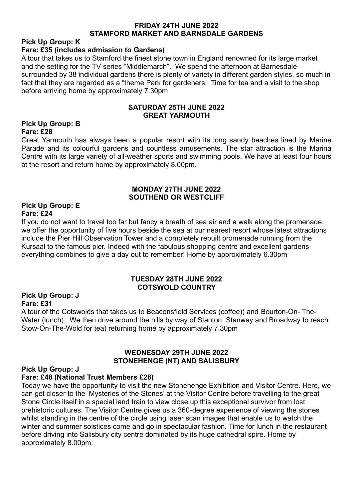#### **FRIDAY 24TH JUNE 2022 STAMFORD MARKET AND BARNSDALE GARDENS**

# **Pick Up Group: K**

### **Fare: £35 (includes admission to Gardens)**

A tour that takes us to Stamford the finest stone town in England renowned for its large market and the setting for the TV series "Middlemarch". We spend the afternoon at Barnesdale surrounded by 38 individual gardens there is plenty of variety in different garden styles, so much in fact that they are regarded as a "theme Park for gardeners. Time for tea and a visit to the shop before arriving home by approximately 7.30pm

#### **SATURDAY 25TH JUNE 2022 GREAT YARMOUTH**

#### **Pick Up Group: B Fare: £28**

Great Yarmouth has always been a popular resort with its long sandy beaches lined by Marine Parade and its colourful gardens and countless amusements. The star attraction is the Marina Centre with its large variety of all-weather sports and swimming pools. We have at least four hours at the resort and return home by approximately 8.00pm.

#### **MONDAY 27TH JUNE 2022 SOUTHEND OR WESTCLIFF**

#### **Pick Up Group: E Fare: £24**

If you do not want to travel too far but fancy a breath of sea air and a walk along the promenade, we offer the opportunity of five hours beside the sea at our nearest resort whose latest attractions include the Pier Hill Observation Tower and a completely rebuilt promenade running from the Kursaal to the famous pier. Indeed with the fabulous shopping centre and excellent gardens everything combines to give a day out to remember! Home by approximately 6.30pm

#### **TUESDAY 28TH JUNE 2022 COTSWOLD COUNTRY**

#### **Pick Up Group: J Fare: £31**

A tour of the Cotswolds that takes us to Beaconsfield Services (coffee)) and Bourton-On- The-Water (lunch). We then drive around the hills by way of Stanton, Stanway and Broadway to reach Stow-On-The-Wold for tea) returning home by approximately 7.30pm

#### **WEDNESDAY 29TH JUNE 2022 STONEHENGE (NT) AND SALISBURY**

#### **Pick Up Group: J**

#### **Fare: £48 (National Trust Members £28)**

Today we have the opportunity to visit the new Stonehenge Exhibition and Visitor Centre. Here, we can get closer to the 'Mysteries of the Stones' at the Visitor Centre before travelling to the great Stone Circle itself in a special land train to view close up this exceptional survivor from lost prehistoric cultures. The Visitor Centre gives us a 360-degree experience of viewing the stones whilst standing in the centre of the circle using laser scan images that enable us to watch the winter and summer solstices come and go in spectacular fashion. Time for lunch in the restaurant before driving into Salisbury city centre dominated by its huge cathedral spire. Home by approximately 8.00pm.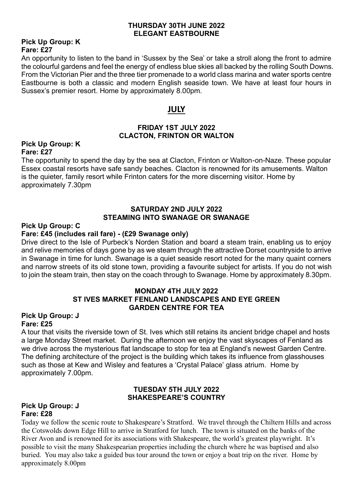#### **THURSDAY 30TH JUNE 2022 ELEGANT EASTBOURNE**

#### **Pick Up Group: K Fare: £27**

An opportunity to listen to the band in 'Sussex by the Sea' or take a stroll along the front to admire the colourful gardens and feel the energy of endless blue skies all backed by the rolling South Downs. From the Victorian Pier and the three tier promenade to a world class marina and water sports centre Eastbourne is both a classic and modern English seaside town. We have at least four hours in Sussex's premier resort. Home by approximately 8.00pm.

### **JULY**

#### **FRIDAY 1ST JULY 2022 CLACTON, FRINTON OR WALTON**

#### **Pick Up Group: K Fare: £27**

The opportunity to spend the day by the sea at Clacton, Frinton or Walton-on-Naze. These popular Essex coastal resorts have safe sandy beaches. Clacton is renowned for its amusements. Walton is the quieter, family resort while Frinton caters for the more discerning visitor. Home by approximately 7.30pm

#### **SATURDAY 2ND JULY 2022 STEAMING INTO SWANAGE OR SWANAGE**

#### **Pick Up Group: C**

#### **Fare: £45 (includes rail fare) - (£29 Swanage only)**

Drive direct to the Isle of Purbeck's Norden Station and board a steam train, enabling us to enjoy and relive memories of days gone by as we steam through the attractive Dorset countryside to arrive in Swanage in time for lunch. Swanage is a quiet seaside resort noted for the many quaint corners and narrow streets of its old stone town, providing a favourite subject for artists. If you do not wish to join the steam train, then stay on the coach through to Swanage. Home by approximately 8.30pm.

#### **MONDAY 4TH JULY 2022 ST IVES MARKET FENLAND LANDSCAPES AND EYE GREEN GARDEN CENTRE FOR TEA**

#### **Pick Up Group: J Fare: £25**

A tour that visits the riverside town of St. Ives which still retains its ancient bridge chapel and hosts a large Monday Street market. During the afternoon we enjoy the vast skyscapes of Fenland as we drive across the mysterious flat landscape to stop for tea at England's newest Garden Centre. The defining architecture of the project is the building which takes its influence from glasshouses such as those at Kew and Wisley and features a 'Crystal Palace' glass atrium. Home by approximately 7.00pm.

#### **TUESDAY 5TH JULY 2022 SHAKESPEARE'S COUNTRY**

#### **Pick Up Group: J Fare: £28**

Today we follow the scenic route to Shakespeare's Stratford. We travel through the Chiltern Hills and across the Cotswolds down Edge Hill to arrive in Stratford for lunch. The town is situated on the banks of the River Avon and is renowned for its associations with Shakespeare, the world's greatest playwright. It's possible to visit the many Shakespearian properties including the church where he was baptised and also buried. You may also take a guided bus tour around the town or enjoy a boat trip on the river. Home by approximately 8.00pm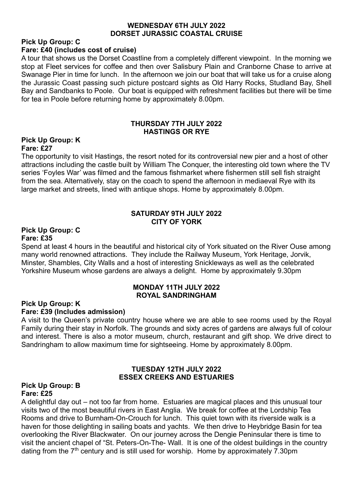#### **WEDNESDAY 6TH JULY 2022 DORSET JURASSIC COASTAL CRUISE**

#### **Pick Up Group: C Fare: £40 (includes cost of cruise)**

A tour that shows us the Dorset Coastline from a completely different viewpoint. In the morning we stop at Fleet services for coffee and then over Salisbury Plain and Cranborne Chase to arrive at Swanage Pier in time for lunch. In the afternoon we join our boat that will take us for a cruise along the Jurassic Coast passing such picture postcard sights as Old Harry Rocks, Studland Bay, Shell Bay and Sandbanks to Poole. Our boat is equipped with refreshment facilities but there will be time for tea in Poole before returning home by approximately 8.00pm.

#### **THURSDAY 7TH JULY 2022 HASTINGS OR RYE**

#### **Pick Up Group: K Fare: £27**

The opportunity to visit Hastings, the resort noted for its controversial new pier and a host of other attractions including the castle built by William The Conquer, the interesting old town where the TV series 'Foyles War' was filmed and the famous fishmarket where fishermen still sell fish straight from the sea. Alternatively, stay on the coach to spend the afternoon in mediaeval Rye with its large market and streets, lined with antique shops. Home by approximately 8.00pm.

#### **SATURDAY 9TH JULY 2022 CITY OF YORK**

#### **Pick Up Group: C Fare: £35**

Spend at least 4 hours in the beautiful and historical city of York situated on the River Ouse among many world renowned attractions. They include the Railway Museum, York Heritage, Jorvik, Minster, Shambles, City Walls and a host of interesting Snickleways as well as the celebrated Yorkshire Museum whose gardens are always a delight. Home by approximately 9.30pm

#### **MONDAY 11TH JULY 2022 ROYAL SANDRINGHAM**

#### **Pick Up Group: K Fare: £39 (Includes admission)**

A visit to the Queen's private country house where we are able to see rooms used by the Royal Family during their stay in Norfolk. The grounds and sixty acres of gardens are always full of colour and interest. There is also a motor museum, church, restaurant and gift shop. We drive direct to Sandringham to allow maximum time for sightseeing. Home by approximately 8.00pm.

#### **TUESDAY 12TH JULY 2022 ESSEX CREEKS AND ESTUARIES**

#### **Pick Up Group: B Fare: £25**

A delightful day out – not too far from home. Estuaries are magical places and this unusual tour visits two of the most beautiful rivers in East Anglia. We break for coffee at the Lordship Tea Rooms and drive to Burnham-On-Crouch for lunch. This quiet town with its riverside walk is a haven for those delighting in sailing boats and yachts. We then drive to Heybridge Basin for tea overlooking the River Blackwater. On our journey across the Dengie Peninsular there is time to visit the ancient chapel of "St. Peters-On-The- Wall. It is one of the oldest buildings in the country dating from the  $7<sup>th</sup>$  century and is still used for worship. Home by approximately  $7.30 \text{pm}$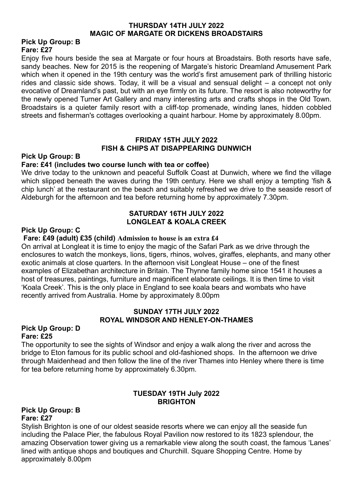#### **THURSDAY 14TH JULY 2022 MAGIC OF MARGATE OR DICKENS BROADSTAIRS**

#### **Pick Up Group: B Fare: £27**

Enjoy five hours beside the sea at Margate or four hours at Broadstairs. Both resorts have safe, sandy beaches. New for 2015 is the reopening of Margate's historic Dreamland Amusement Park which when it opened in the 19th century was the world's first amusement park of thrilling historic rides and classic side shows. Today, it will be a visual and sensual delight – a concept not only evocative of Dreamland's past, but with an eye firmly on its future. The resort is also noteworthy for the newly opened Turner Art Gallery and many interesting arts and crafts shops in the Old Town. Broadstairs is a quieter family resort with a cliff-top promenade, winding lanes, hidden cobbled streets and fisherman's cottages overlooking a quaint harbour. Home by approximately 8.00pm.

#### **FRIDAY 15TH JULY 2022 FISH & CHIPS AT DISAPPEARING DUNWICH**

#### **Pick Up Group: B**

#### **Fare: £41 (includes two course lunch with tea or coffee)**

We drive today to the unknown and peaceful Suffolk Coast at Dunwich, where we find the village which slipped beneath the waves during the 19th century. Here we shall enjoy a tempting 'fish & chip lunch' at the restaurant on the beach and suitably refreshed we drive to the seaside resort of Aldeburgh for the afternoon and tea before returning home by approximately 7.30pm.

#### **SATURDAY 16TH JULY 2022 LONGLEAT & KOALA CREEK**

#### **Pick Up Group: C**

#### **Fare: £49 (adult) £35 (child) Admission to house is an extra £4**

On arrival at Longleat it is time to enjoy the magic of the Safari Park as we drive through the enclosures to watch the monkeys, lions, tigers, rhinos, wolves, giraffes, elephants, and many other exotic animals at close quarters. In the afternoon visit Longleat House – one of the finest examples of Elizabethan architecture in Britain. The Thynne family home since 1541 it houses a host of treasures, paintings, furniture and magnificent elaborate ceilings. It is then time to visit 'Koala Creek'. This is the only place in England to see koala bears and wombats who have recently arrived from Australia. Home by approximately 8.00pm

#### **SUNDAY 17TH JULY 2022 ROYAL WINDSOR AND HENLEY-ON-THAMES**

#### **Pick Up Group: D Fare: £25**

The opportunity to see the sights of Windsor and enjoy a walk along the river and across the bridge to Eton famous for its public school and old-fashioned shops. In the afternoon we drive through Maidenhead and then follow the line of the river Thames into Henley where there is time for tea before returning home by approximately 6.30pm.

#### **TUESDAY 19TH July 2022 BRIGHTON**

#### **Pick Up Group: B Fare: £27**

Stylish Brighton is one of our oldest seaside resorts where we can enjoy all the seaside fun including the Palace Pier, the fabulous Royal Pavilion now restored to its 1823 splendour, the amazing Observation tower giving us a remarkable view along the south coast, the famous 'Lanes' lined with antique shops and boutiques and Churchill. Square Shopping Centre. Home by approximately 8.00pm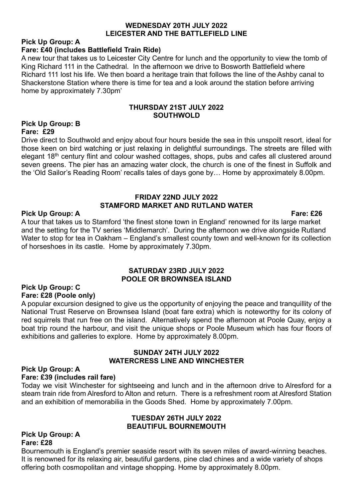#### **WEDNESDAY 20TH JULY 2022 LEICESTER AND THE BATTLEFIELD LINE**

# **Pick Up Group: A**

#### **Fare: £40 (includes Battlefield Train Ride)**

A new tour that takes us to Leicester City Centre for lunch and the opportunity to view the tomb of King Richard 111 in the Cathedral. In the afternoon we drive to Bosworth Battlefield where Richard 111 lost his life. We then board a heritage train that follows the line of the Ashby canal to Shackerstone Station where there is time for tea and a look around the station before arriving home by approximately 7.30pm'

#### **THURSDAY 21ST JULY 2022 SOUTHWOLD**

#### **Pick Up Group: B Fare: £29**

Drive direct to Southwold and enjoy about four hours beside the sea in this unspoilt resort, ideal for those keen on bird watching or just relaxing in delightful surroundings. The streets are filled with elegant 18<sup>th</sup> century flint and colour washed cottages, shops, pubs and cafes all clustered around seven greens. The pier has an amazing water clock, the church is one of the finest in Suffolk and the 'Old Sailor's Reading Room' recalls tales of days gone by… Home by approximately 8.00pm.

#### **FRIDAY 22ND JULY 2022 STAMFORD MARKET AND RUTLAND WATER**

#### **Pick Up Group: A Fare: £26**

A tour that takes us to Stamford 'the finest stone town in England' renowned for its large market and the setting for the TV series 'Middlemarch'. During the afternoon we drive alongside Rutland Water to stop for tea in Oakham – England's smallest county town and well-known for its collection of horseshoes in its castle. Home by approximately 7.30pm.

#### **SATURDAY 23RD JULY 2022 POOLE OR BROWNSEA ISLAND**

#### **Pick Up Group: C Fare: £28 (Poole only)**

A popular excursion designed to give us the opportunity of enjoying the peace and tranquillity of the National Trust Reserve on Brownsea Island (boat fare extra) which is noteworthy for its colony of red squirrels that run free on the island. Alternatively spend the afternoon at Poole Quay, enjoy a boat trip round the harbour, and visit the unique shops or Poole Museum which has four floors of exhibitions and galleries to explore. Home by approximately 8.00pm.

#### **SUNDAY 24TH JULY 2022 WATERCRESS LINE AND WINCHESTER**

#### **Pick Up Group: A**

#### **Fare: £39 (includes rail fare)**

Today we visit Winchester for sightseeing and lunch and in the afternoon drive to Alresford for a steam train ride from Alresford to Alton and return. There is a refreshment room at Alresford Station and an exhibition of memorabilia in the Goods Shed. Home by approximately 7.00pm.

#### **TUESDAY 26TH JULY 2022 BEAUTIFUL BOURNEMOUTH**

#### **Pick Up Group: A Fare: £28**

Bournemouth is England's premier seaside resort with its seven miles of award-winning beaches. It is renowned for its relaxing air, beautiful gardens, pine clad chines and a wide variety of shops offering both cosmopolitan and vintage shopping. Home by approximately 8.00pm.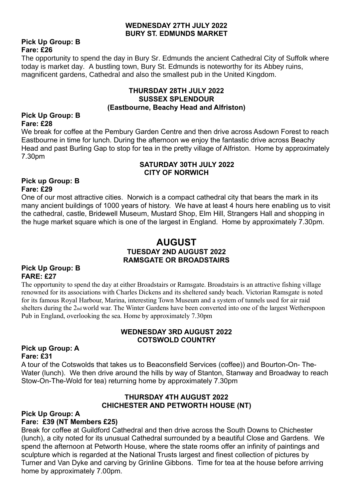#### **WEDNESDAY 27TH JULY 2022 BURY ST. EDMUNDS MARKET**

#### **Pick Up Group: B Fare: £26**

The opportunity to spend the day in Bury Sr. Edmunds the ancient Cathedral City of Suffolk where today is market day. A bustling town, Bury St. Edmunds is noteworthy for its Abbey ruins, magnificent gardens, Cathedral and also the smallest pub in the United Kingdom.

#### **THURSDAY 28TH JULY 2022 SUSSEX SPLENDOUR (Eastbourne, Beachy Head and Alfriston)**

#### **Pick Up Group: B Fare: £28**

We break for coffee at the Pembury Garden Centre and then drive across Asdown Forest to reach Eastbourne in time for lunch. During the afternoon we enjoy the fantastic drive across Beachy Head and past Burling Gap to stop for tea in the pretty village of Alfriston. Home by approximately 7.30pm

#### **SATURDAY 30TH JULY 2022 CITY OF NORWICH**

#### **Pick up Group: B Fare: £29**

One of our most attractive cities. Norwich is a compact cathedral city that bears the mark in its many ancient buildings of 1000 years of history. We have at least 4 hours here enabling us to visit the cathedral, castle, Bridewell Museum, Mustard Shop, Elm Hill, Strangers Hall and shopping in the huge market square which is one of the largest in England. Home by approximately 7.30pm.

#### **AUGUST TUESDAY 2ND AUGUST 2022 RAMSGATE OR BROADSTAIRS**

#### **Pick Up Group: B FARE: £27**

The opportunity to spend the day at either Broadstairs or Ramsgate. Broadstairs is an attractive fishing village renowned for its associations with Charles Dickens and its sheltered sandy beach. Victorian Ramsgate is noted for its famous Royal Harbour, Marina, interesting Town Museum and a system of tunnels used for air raid shelters during the 2nd world war. The Winter Gardens have been converted into one of the largest Wetherspoon Pub in England, overlooking the sea. Home by approximately 7.30pm

#### **WEDNESDAY 3RD AUGUST 2022 COTSWOLD COUNTRY**

#### **Pick up Group: A Fare: £31**

A tour of the Cotswolds that takes us to Beaconsfield Services (coffee)) and Bourton-On- The-Water (lunch). We then drive around the hills by way of Stanton, Stanway and Broadway to reach Stow-On-The-Wold for tea) returning home by approximately 7.30pm

#### **THURSDAY 4TH AUGUST 2022 CHICHESTER AND PETWORTH HOUSE (NT)**

#### **Pick Up Group: A Fare: £39 (NT Members £25)**

Break for coffee at Guildford Cathedral and then drive across the South Downs to Chichester (lunch), a city noted for its unusual Cathedral surrounded by a beautiful Close and Gardens. We spend the afternoon at Petworth House, where the state rooms offer an infinity of paintings and sculpture which is regarded at the National Trusts largest and finest collection of pictures by Turner and Van Dyke and carving by Grinline Gibbons. Time for tea at the house before arriving home by approximately 7.00pm.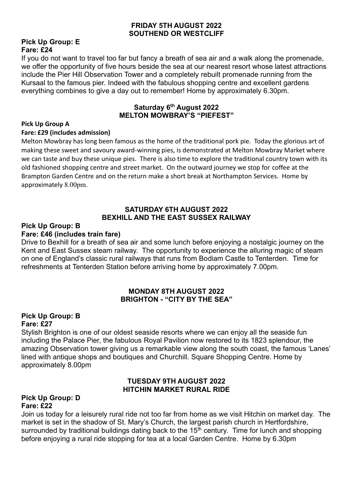#### **FRIDAY 5TH AUGUST 2022 SOUTHEND OR WESTCLIFF**

#### **Pick Up Group: E Fare: £24**

If you do not want to travel too far but fancy a breath of sea air and a walk along the promenade, we offer the opportunity of five hours beside the sea at our nearest resort whose latest attractions include the Pier Hill Observation Tower and a completely rebuilt promenade running from the Kursaal to the famous pier. Indeed with the fabulous shopping centre and excellent gardens everything combines to give a day out to remember! Home by approximately 6.30pm.

#### **Saturday 6th August 2022 MELTON MOWBRAY'S "PIEFEST"**

#### **Pick Up Group A**

#### **Fare: £29 (includes admission)**

Melton Mowbray has long been famous as the home of the traditional pork pie. Today the glorious art of making these sweet and savoury award-winning pies, is demonstrated at Melton Mowbray Market where we can taste and buy these unique pies. There is also time to explore the traditional country town with its old fashioned shopping centre and street market. On the outward journey we stop for coffee at the Brampton Garden Centre and on the return make a short break at Northampton Services. Home by approximately 8.00pm.

#### **SATURDAY 6TH AUGUST 2022 BEXHILL AND THE EAST SUSSEX RAILWAY**

# **Pick Up Group: B**

# **Fare: £46 (includes train fare)**

Drive to Bexhill for a breath of sea air and some lunch before enjoying a nostalgic journey on the Kent and East Sussex steam railway. The opportunity to experience the alluring magic of steam on one of England's classic rural railways that runs from Bodiam Castle to Tenterden. Time for refreshments at Tenterden Station before arriving home by approximately 7.00pm.

#### **MONDAY 8TH AUGUST 2022 BRIGHTON - "CITY BY THE SEA"**

#### **Pick Up Group: B Fare: £27**

Stylish Brighton is one of our oldest seaside resorts where we can enjoy all the seaside fun including the Palace Pier, the fabulous Royal Pavilion now restored to its 1823 splendour, the amazing Observation tower giving us a remarkable view along the south coast, the famous 'Lanes' lined with antique shops and boutiques and Churchill. Square Shopping Centre. Home by approximately 8.00pm

#### **TUESDAY 9TH AUGUST 2022 HITCHIN MARKET RURAL RIDE**

#### **Pick Up Group: D Fare: £22**

Join us today for a leisurely rural ride not too far from home as we visit Hitchin on market day. The market is set in the shadow of St. Mary's Church, the largest parish church in Hertfordshire, surrounded by traditional buildings dating back to the  $15<sup>th</sup>$  century. Time for lunch and shopping before enjoying a rural ride stopping for tea at a local Garden Centre. Home by 6.30pm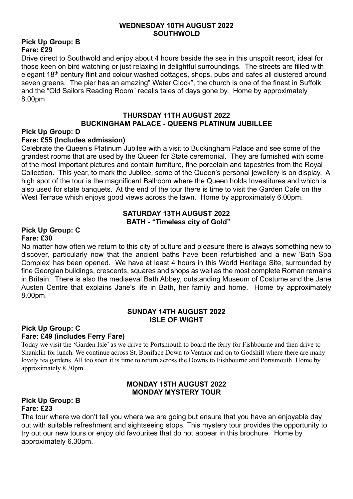#### **WEDNESDAY 10TH AUGUST 2022 SOUTHWOLD**

#### **Pick Up Group: B Fare: £29**

Drive direct to Southwold and enjoy about 4 hours beside the sea in this unspoilt resort, ideal for those keen on bird watching or just relaxing in delightful surroundings. The streets are filled with elegant 18<sup>th</sup> century flint and colour washed cottages, shops, pubs and cafes all clustered around seven greens. The pier has an amazing" Water Clock", the church is one of the finest in Suffolk and the "Old Sailors Reading Room" recalls tales of days gone by. Home by approximately 8.00pm

#### **THURSDAY 11TH AUGUST 2022 BUCKINGHAM PALACE - QUEENS PLATINUM JUBILLEE**

#### **Pick Up Group: D**

#### **Fare: £55 (Includes admission)**

Celebrate the Queen's Platinum Jubilee with a visit to Buckingham Palace and see some of the grandest rooms that are used by the Queen for State ceremonial. They are furnished with some of the most important pictures and contain furniture, fine porcelain and tapestries from the Royal Collection. This year, to mark the Jubilee, some of the Queen's personal jewellery is on display. A high spot of the tour is the magnificent Ballroom where the Queen holds Investitures and which is also used for state banquets. At the end of the tour there is time to visit the Garden Cafe on the West Terrace which enjoys good views across the lawn. Home by approximately 6.00pm.

#### **SATURDAY 13TH AUGUST 2022 BATH - "Timeless city of Gold"**

#### **Pick Up Group: C Fare: £30**

No matter how often we return to this city of culture and pleasure there is always something new to discover, particularly now that the ancient baths have been refurbished and a new 'Bath Spa Complex' has been opened. We have at least 4 hours in this World Heritage Site, surrounded by fine Georgian buildings, crescents, squares and shops as well as the most complete Roman remains in Britain. There is also the mediaeval Bath Abbey, outstanding Museum of Costume and the Jane Austen Centre that explains Jane's life in Bath, her family and home. Home by approximately 8.00pm.

#### **SUNDAY 14TH AUGUST 2022 ISLE OF WIGHT**

#### **Pick Up Group: C Fare: £49 (includes Ferry Fare)**

Today we visit the 'Garden Isle' as we drive to Portsmouth to board the ferry for Fishbourne and then drive to Shanklin for lunch. We continue across St. Boniface Down to Ventnor and on to Godshill where there are many lovely tea gardens. All too soon it is time to return across the Downs to Fishbourne and Portsmouth. Home by approximately 8.30pm.

#### **MONDAY 15TH AUGUST 2022 MONDAY MYSTERY TOUR**

#### **Pick Up Group: B Fare: £23**

The tour where we don't tell you where we are going but ensure that you have an enjoyable day out with suitable refreshment and sightseeing stops. This mystery tour provides the opportunity to try out our new tours or enjoy old favourites that do not appear in this brochure. Home by approximately 6.30pm.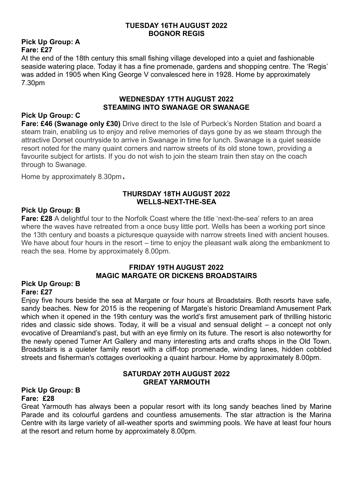#### **TUESDAY 16TH AUGUST 2022 BOGNOR REGIS**

#### **Pick Up Group: A Fare: £27**

At the end of the 18th century this small fishing village developed into a quiet and fashionable seaside watering place. Today it has a fine promenade, gardens and shopping centre. The 'Regis' was added in 1905 when King George V convalesced here in 1928. Home by approximately 7.30pm

#### **WEDNESDAY 17TH AUGUST 2022 STEAMING INTO SWANAGE OR SWANAGE**

#### **Pick Up Group: C**

**Fare: £46 (Swanage only £30)** Drive direct to the Isle of Purbeck's Norden Station and board a steam train, enabling us to enjoy and relive memories of days gone by as we steam through the attractive Dorset countryside to arrive in Swanage in time for lunch. Swanage is a quiet seaside resort noted for the many quaint corners and narrow streets of its old stone town, providing a favourite subject for artists. If you do not wish to join the steam train then stay on the coach through to Swanage.

Home by approximately 8.30pm.

#### **THURSDAY 18TH AUGUST 2022 WELLS-NEXT-THE-SEA**

#### **Pick Up Group: B**

**Fare: £28** A delightful tour to the Norfolk Coast where the title 'next-the-sea' refers to an area where the waves have retreated from a once busy little port. Wells has been a working port since the 13th century and boasts a picturesque quayside with narrow streets lined with ancient houses. We have about four hours in the resort – time to enjoy the pleasant walk along the embankment to reach the sea. Home by approximately 8.00pm.

#### **FRIDAY 19TH AUGUST 2022 MAGIC MARGATE OR DICKENS BROADSTAIRS**

#### **Pick Up Group: B Fare: £27**

Enjoy five hours beside the sea at Margate or four hours at Broadstairs. Both resorts have safe, sandy beaches. New for 2015 is the reopening of Margate's historic Dreamland Amusement Park which when it opened in the 19th century was the world's first amusement park of thrilling historic rides and classic side shows. Today, it will be a visual and sensual delight – a concept not only evocative of Dreamland's past, but with an eye firmly on its future. The resort is also noteworthy for the newly opened Turner Art Gallery and many interesting arts and crafts shops in the Old Town. Broadstairs is a quieter family resort with a cliff-top promenade, winding lanes, hidden cobbled streets and fisherman's cottages overlooking a quaint harbour. Home by approximately 8.00pm.

#### **SATURDAY 20TH AUGUST 2022 GREAT YARMOUTH**

#### **Pick Up Group: B Fare: £28**

Great Yarmouth has always been a popular resort with its long sandy beaches lined by Marine Parade and its colourful gardens and countless amusements. The star attraction is the Marina Centre with its large variety of all-weather sports and swimming pools. We have at least four hours at the resort and return home by approximately 8.00pm.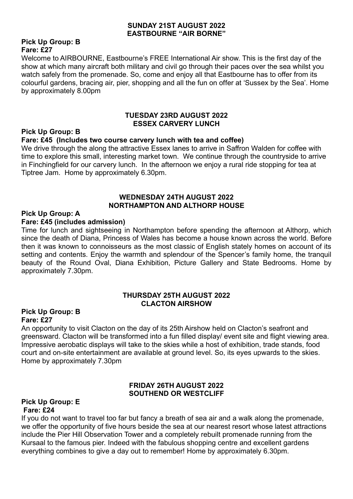#### **SUNDAY 21ST AUGUST 2022 EASTBOURNE "AIR BORNE"**

#### **Pick Up Group: B Fare: £27**

Welcome to AIRBOURNE, Eastbourne's FREE International Air show. This is the first day of the show at which many aircraft both military and civil go through their paces over the sea whilst you watch safely from the promenade. So, come and enjoy all that Eastbourne has to offer from its colourful gardens, bracing air, pier, shopping and all the fun on offer at 'Sussex by the Sea'. Home by approximately 8.00pm

#### **TUESDAY 23RD AUGUST 2022 ESSEX CARVERY LUNCH**

#### **Pick Up Group: B**

#### **Fare: £45 (Includes two course carvery lunch with tea and coffee)**

We drive through the along the attractive Essex lanes to arrive in Saffron Walden for coffee with time to explore this small, interesting market town. We continue through the countryside to arrive in Finchingfield for our carvery lunch. In the afternoon we enjoy a rural ride stopping for tea at Tiptree Jam. Home by approximately 6.30pm.

#### **WEDNESDAY 24TH AUGUST 2022 NORTHAMPTON AND ALTHORP HOUSE**

#### **Pick Up Group: A**

#### **Fare: £45 (includes admission)**

Time for lunch and sightseeing in Northampton before spending the afternoon at Althorp, which since the death of Diana, Princess of Wales has become a house known across the world. Before then it was known to connoisseurs as the most classic of English stately homes on account of its setting and contents. Enjoy the warmth and splendour of the Spencer's family home, the tranquil beauty of the Round Oval, Diana Exhibition, Picture Gallery and State Bedrooms. Home by approximately 7.30pm.

#### **THURSDAY 25TH AUGUST 2022 CLACTON AIRSHOW**

#### **Pick Up Group: B Fare: £27**

An opportunity to visit Clacton on the day of its 25th Airshow held on Clacton's seafront and greensward. Clacton will be transformed into a fun filled display/ event site and flight viewing area. Impressive aerobatic displays will take to the skies while a host of exhibition, trade stands, food court and on-site entertainment are available at ground level. So, its eyes upwards to the skies. Home by approximately 7.30pm

#### **FRIDAY 26TH AUGUST 2022 SOUTHEND OR WESTCLIFF**

#### **Pick Up Group: E Fare: £24**

If you do not want to travel too far but fancy a breath of sea air and a walk along the promenade, we offer the opportunity of five hours beside the sea at our nearest resort whose latest attractions include the Pier Hill Observation Tower and a completely rebuilt promenade running from the Kursaal to the famous pier. Indeed with the fabulous shopping centre and excellent gardens everything combines to give a day out to remember! Home by approximately 6.30pm.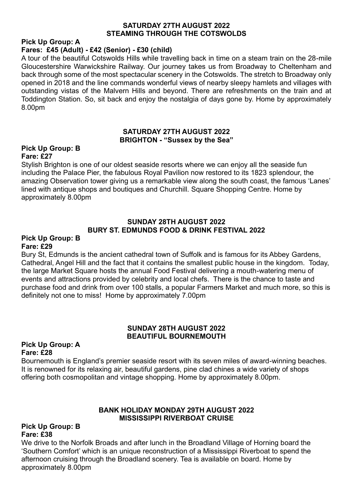#### **SATURDAY 27TH AUGUST 2022 STEAMING THROUGH THE COTSWOLDS**

#### **Pick Up Group: A**

#### **Fares: £45 (Adult) - £42 (Senior) - £30 (child)**

A tour of the beautiful Cotswolds Hills while travelling back in time on a steam train on the 28-mile Gloucestershire Warwickshire Railway. Our journey takes us from Broadway to Cheltenham and back through some of the most spectacular scenery in the Cotswolds. The stretch to Broadway only opened in 2018 and the line commands wonderful views of nearby sleepy hamlets and villages with outstanding vistas of the Malvern Hills and beyond. There are refreshments on the train and at Toddington Station. So, sit back and enjoy the nostalgia of days gone by. Home by approximately 8.00pm

#### **SATURDAY 27TH AUGUST 2022 BRIGHTON - "Sussex by the Sea"**

#### **Pick Up Group: B Fare: £27**

Stylish Brighton is one of our oldest seaside resorts where we can enjoy all the seaside fun including the Palace Pier, the fabulous Royal Pavilion now restored to its 1823 splendour, the amazing Observation tower giving us a remarkable view along the south coast, the famous 'Lanes' lined with antique shops and boutiques and Churchill. Square Shopping Centre. Home by approximately 8.00pm

#### **SUNDAY 28TH AUGUST 2022 BURY ST. EDMUNDS FOOD & DRINK FESTIVAL 2022**

#### **Pick Up Group: B Fare: £29**

Bury St, Edmunds is the ancient cathedral town of Suffolk and is famous for its Abbey Gardens, Cathedral, Angel Hill and the fact that it contains the smallest public house in the kingdom. Today, the large Market Square hosts the annual Food Festival delivering a mouth-watering menu of events and attractions provided by celebrity and local chefs. There is the chance to taste and purchase food and drink from over 100 stalls, a popular Farmers Market and much more, so this is definitely not one to miss! Home by approximately 7.00pm

#### **SUNDAY 28TH AUGUST 2022 BEAUTIFUL BOURNEMOUTH**

#### **Pick Up Group: A Fare: £28**

Bournemouth is England's premier seaside resort with its seven miles of award-winning beaches. It is renowned for its relaxing air, beautiful gardens, pine clad chines a wide variety of shops offering both cosmopolitan and vintage shopping. Home by approximately 8.00pm.

#### **BANK HOLIDAY MONDAY 29TH AUGUST 2022 MISSISSIPPI RIVERBOAT CRUISE**

#### **Pick Up Group: B Fare: £38**

We drive to the Norfolk Broads and after lunch in the Broadland Village of Horning board the 'Southern Comfort' which is an unique reconstruction of a Mississippi Riverboat to spend the afternoon cruising through the Broadland scenery. Tea is available on board. Home by approximately 8.00pm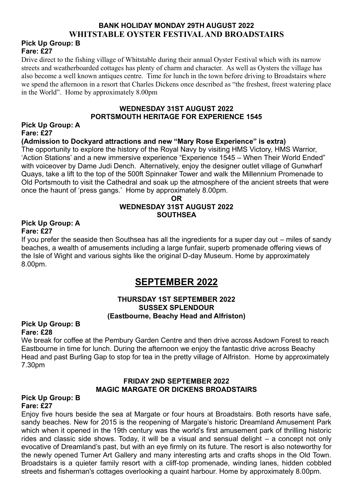# **BANK HOLIDAY MONDAY 29TH AUGUST 2022 WHITSTABLE OYSTER FESTIVAL AND BROADSTAIRS**

#### **Pick Up Group: B Fare: £27**

Drive direct to the fishing village of Whitstable during their annual Oyster Festival which with its narrow streets and weatherboarded cottages has plenty of charm and character. As well as Oysters the village has also become a well known antiques centre. Time for lunch in the town before driving to Broadstairs where we spend the afternoon in a resort that Charles Dickens once described as "the freshest, freest watering place in the World". Home by approximately 8.00pm

#### **WEDNESDAY 31ST AUGUST 2022 PORTSMOUTH HERITAGE FOR EXPERIENCE 1545**

#### **Pick Up Group: A Fare: £27**

#### **(Admission to Dockyard attractions and new "Mary Rose Experience" is extra)**

The opportunity to explore the history of the Royal Navy by visiting HMS Victory, HMS Warrior, 'Action Stations' and a new immersive experience "Experience 1545 – When Their World Ended" with voiceover by Dame Judi Dench. Alternatively, enjoy the designer outlet village of Gunwharf Quays, take a lift to the top of the 500ft Spinnaker Tower and walk the Millennium Promenade to Old Portsmouth to visit the Cathedral and soak up the atmosphere of the ancient streets that were once the haunt of 'press gangs.' Home by approximately 8.00pm.

#### **OR WEDNESDAY 31ST AUGUST 2022 SOUTHSEA**

#### **Pick Up Group: A Fare: £27**

If you prefer the seaside then Southsea has all the ingredients for a super day out – miles of sandy beaches, a wealth of amusements including a large funfair, superb promenade offering views of the Isle of Wight and various sights like the original D-day Museum. Home by approximately 8.00pm.

# **SEPTEMBER 2022**

#### **THURSDAY 1ST SEPTEMBER 2022 SUSSEX SPLENDOUR (Eastbourne, Beachy Head and Alfriston)**

#### **Pick Up Group: B Fare: £28**

We break for coffee at the Pembury Garden Centre and then drive across Asdown Forest to reach Eastbourne in time for lunch. During the afternoon we enjoy the fantastic drive across Beachy Head and past Burling Gap to stop for tea in the pretty village of Alfriston. Home by approximately 7.30pm

#### **FRIDAY 2ND SEPTEMBER 2022 MAGIC MARGATE OR DICKENS BROADSTAIRS**

#### **Pick Up Group: B Fare: £27**

Enjoy five hours beside the sea at Margate or four hours at Broadstairs. Both resorts have safe, sandy beaches. New for 2015 is the reopening of Margate's historic Dreamland Amusement Park which when it opened in the 19th century was the world's first amusement park of thrilling historic rides and classic side shows. Today, it will be a visual and sensual delight – a concept not only evocative of Dreamland's past, but with an eye firmly on its future. The resort is also noteworthy for the newly opened Turner Art Gallery and many interesting arts and crafts shops in the Old Town. Broadstairs is a quieter family resort with a cliff-top promenade, winding lanes, hidden cobbled streets and fisherman's cottages overlooking a quaint harbour. Home by approximately 8.00pm.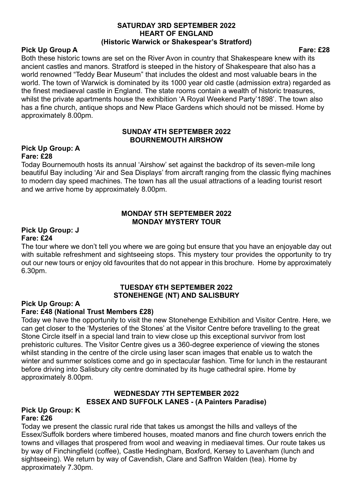#### **SATURDAY 3RD SEPTEMBER 2022 HEART OF ENGLAND (Historic Warwick or Shakespear's Stratford)**

#### **Pick Up Group A Fare: £28**

Both these historic towns are set on the River Avon in country that Shakespeare knew with its ancient castles and manors. Stratford is steeped in the history of Shakespeare that also has a world renowned "Teddy Bear Museum" that includes the oldest and most valuable bears in the world. The town of Warwick is dominated by its 1000 year old castle (admission extra) regarded as the finest mediaeval castle in England. The state rooms contain a wealth of historic treasures, whilst the private apartments house the exhibition 'A Royal Weekend Party'1898'. The town also has a fine church, antique shops and New Place Gardens which should not be missed. Home by approximately 8.00pm.

#### **SUNDAY 4TH SEPTEMBER 2022 BOURNEMOUTH AIRSHOW**

#### **Pick Up Group: A Fare: £28**

Today Bournemouth hosts its annual 'Airshow' set against the backdrop of its seven-mile long beautiful Bay including 'Air and Sea Displays' from aircraft ranging from the classic flying machines to modern day speed machines. The town has all the usual attractions of a leading tourist resort and we arrive home by approximately 8.00pm.

#### **MONDAY 5TH SEPTEMBER 2022 MONDAY MYSTERY TOUR**

#### **Pick Up Group: J Fare: £24**

The tour where we don't tell you where we are going but ensure that you have an enjoyable day out with suitable refreshment and sightseeing stops. This mystery tour provides the opportunity to try out our new tours or enjoy old favourites that do not appear in this brochure. Home by approximately 6.30pm.

#### **TUESDAY 6TH SEPTEMBER 2022 STONEHENGE (NT) AND SALISBURY**

#### **Pick Up Group: A**

#### **Fare: £48 (National Trust Members £28)**

Today we have the opportunity to visit the new Stonehenge Exhibition and Visitor Centre. Here, we can get closer to the 'Mysteries of the Stones' at the Visitor Centre before travelling to the great Stone Circle itself in a special land train to view close up this exceptional survivor from lost prehistoric cultures. The Visitor Centre gives us a 360-degree experience of viewing the stones whilst standing in the centre of the circle using laser scan images that enable us to watch the winter and summer solstices come and go in spectacular fashion. Time for lunch in the restaurant before driving into Salisbury city centre dominated by its huge cathedral spire. Home by approximately 8.00pm.

#### **WEDNESDAY 7TH SEPTEMBER 2022 ESSEX AND SUFFOLK LANES - (A Painters Paradise)**

#### **Pick Up Group: K Fare: £26**

Today we present the classic rural ride that takes us amongst the hills and valleys of the Essex/Suffolk borders where timbered houses, moated manors and fine church towers enrich the towns and villages that prospered from wool and weaving in mediaeval times. Our route takes us by way of Finchingfield (coffee), Castle Hedingham, Boxford, Kersey to Lavenham (lunch and sightseeing). We return by way of Cavendish, Clare and Saffron Walden (tea). Home by approximately 7.30pm.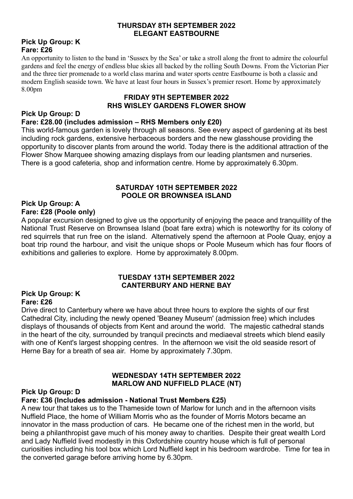#### **THURSDAY 8TH SEPTEMBER 2022 ELEGANT EASTBOURNE**

#### **Pick Up Group: K Fare: £26**

An opportunity to listen to the band in 'Sussex by the Sea' or take a stroll along the front to admire the colourful gardens and feel the energy of endless blue skies all backed by the rolling South Downs. From the Victorian Pier and the three tier promenade to a world class marina and water sports centre Eastbourne is both a classic and modern English seaside town. We have at least four hours in Sussex's premier resort. Home by approximately 8.00pm

#### **FRIDAY 9TH SEPTEMBER 2022 RHS WISLEY GARDENS FLOWER SHOW**

#### **Pick Up Group: D Fare: £28.00 (includes admission – RHS Members only £20)**

This world-famous garden is lovely through all seasons. See every aspect of gardening at its best including rock gardens, extensive herbaceous borders and the new glasshouse providing the opportunity to discover plants from around the world. Today there is the additional attraction of the Flower Show Marquee showing amazing displays from our leading plantsmen and nurseries. There is a good cafeteria, shop and information centre. Home by approximately 6.30pm.

#### **SATURDAY 10TH SEPTEMBER 2022 POOLE OR BROWNSEA ISLAND**

#### **Pick Up Group: A Fare: £28 (Poole only)**

A popular excursion designed to give us the opportunity of enjoying the peace and tranquillity of the National Trust Reserve on Brownsea Island (boat fare extra) which is noteworthy for its colony of red squirrels that run free on the island. Alternatively spend the afternoon at Poole Quay, enjoy a boat trip round the harbour, and visit the unique shops or Poole Museum which has four floors of exhibitions and galleries to explore. Home by approximately 8.00pm.

#### **TUESDAY 13TH SEPTEMBER 2022 CANTERBURY AND HERNE BAY**

#### **Pick Up Group: K Fare: £26**

Drive direct to Canterbury where we have about three hours to explore the sights of our first Cathedral City, including the newly opened 'Beaney Museum' (admission free) which includes displays of thousands of objects from Kent and around the world. The majestic cathedral stands in the heart of the city, surrounded by tranquil precincts and mediaeval streets which blend easily with one of Kent's largest shopping centres. In the afternoon we visit the old seaside resort of Herne Bay for a breath of sea air. Home by approximately 7.30pm.

#### **WEDNESDAY 14TH SEPTEMBER 2022 MARLOW AND NUFFIELD PLACE (NT)**

#### **Pick Up Group: D**

#### **Fare: £36 (Includes admission - National Trust Members £25)**

A new tour that takes us to the Thameside town of Marlow for lunch and in the afternoon visits Nuffield Place, the home of William Morris who as the founder of Morris Motors became an innovator in the mass production of cars. He became one of the richest men in the world, but being a philanthropist gave much of his money away to charities. Despite their great wealth Lord and Lady Nuffield lived modestly in this Oxfordshire country house which is full of personal curiosities including his tool box which Lord Nuffield kept in his bedroom wardrobe. Time for tea in the converted garage before arriving home by 6.30pm.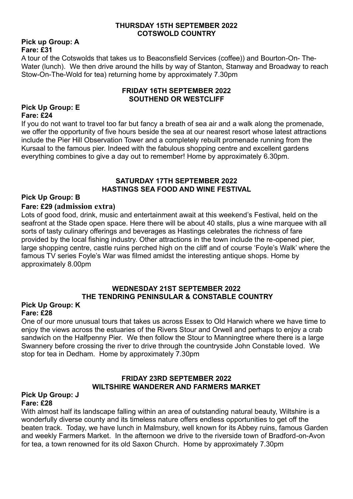#### **THURSDAY 15TH SEPTEMBER 2022 COTSWOLD COUNTRY**

#### **Pick up Group: A Fare: £31**

A tour of the Cotswolds that takes us to Beaconsfield Services (coffee)) and Bourton-On- The-Water (lunch). We then drive around the hills by way of Stanton, Stanway and Broadway to reach Stow-On-The-Wold for tea) returning home by approximately 7.30pm

#### **FRIDAY 16TH SEPTEMBER 2022 SOUTHEND OR WESTCLIFF**

#### **Pick Up Group: E Fare: £24**

If you do not want to travel too far but fancy a breath of sea air and a walk along the promenade, we offer the opportunity of five hours beside the sea at our nearest resort whose latest attractions include the Pier Hill Observation Tower and a completely rebuilt promenade running from the Kursaal to the famous pier. Indeed with the fabulous shopping centre and excellent gardens everything combines to give a day out to remember! Home by approximately 6.30pm.

#### **SATURDAY 17TH SEPTEMBER 2022 HASTINGS SEA FOOD AND WINE FESTIVAL**

#### **Pick Up Group: B**

#### **Fare: £29 (admission extra)**

Lots of good food, drink, music and entertainment await at this weekend's Festival, held on the seafront at the Stade open space. Here there will be about 40 stalls, plus a wine marquee with all sorts of tasty culinary offerings and beverages as Hastings celebrates the richness of fare provided by the local fishing industry. Other attractions in the town include the re-opened pier, large shopping centre, castle ruins perched high on the cliff and of course 'Foyle's Walk' where the famous TV series Foyle's War was filmed amidst the interesting antique shops. Home by approximately 8.00pm

#### **WEDNESDAY 21ST SEPTEMBER 2022 THE TENDRING PENINSULAR & CONSTABLE COUNTRY**

#### **Pick Up Group: K Fare: £28**

One of our more unusual tours that takes us across Essex to Old Harwich where we have time to enjoy the views across the estuaries of the Rivers Stour and Orwell and perhaps to enjoy a crab sandwich on the Halfpenny Pier. We then follow the Stour to Manningtree where there is a large Swannery before crossing the river to drive through the countryside John Constable loved. We stop for tea in Dedham. Home by approximately 7.30pm

#### **FRIDAY 23RD SEPTEMBER 2022 WILTSHIRE WANDERER AND FARMERS MARKET**

#### **Pick Up Group: J Fare: £28**

With almost half its landscape falling within an area of outstanding natural beauty, Wiltshire is a wonderfully diverse county and its timeless nature offers endless opportunities to get off the beaten track. Today, we have lunch in Malmsbury, well known for its Abbey ruins, famous Garden and weekly Farmers Market. In the afternoon we drive to the riverside town of Bradford-on-Avon for tea, a town renowned for its old Saxon Church. Home by approximately 7.30pm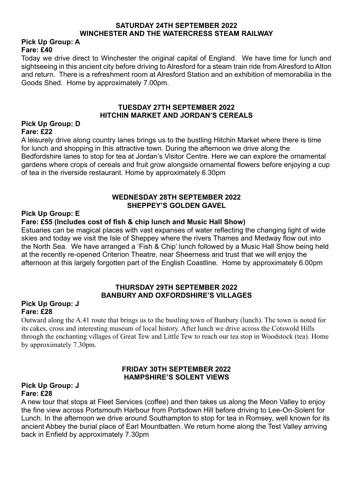#### **SATURDAY 24TH SEPTEMBER 2022 WINCHESTER AND THE WATERCRESS STEAM RAILWAY**

#### **Pick Up Group: A Fare: £40**

Today we drive direct to Winchester the original capital of England. We have time for lunch and sightseeing in this ancient city before driving to Alresford for a steam train ride from Alresford to Alton and return. There is a refreshment room at Alresford Station and an exhibition of memorabilia in the Goods Shed. Home by approximately 7.00pm.

#### **TUESDAY 27TH SEPTEMBER 2022 HITCHIN MARKET AND JORDAN'S CEREALS**

#### **Pick Up Group: D Fare: £22**

A leisurely drive along country lanes brings us to the bustling Hitchin Market where there is time for lunch and shopping in this attractive town. During the afternoon we drive along the Bedfordshire lanes to stop for tea at Jordan's Visitor Centre. Here we can explore the ornamental gardens where crops of cereals and fruit grow alongside ornamental flowers before enjoying a cup of tea in the riverside restaurant. Home by approximately 6.30pm

#### **WEDNESDAY 28TH SEPTEMBER 2022 SHEPPEY'S GOLDEN GAVEL**

#### **Pick Up Group: E**

#### **Fare: £55 (Includes cost of fish & chip lunch and Music Hall Show)**

Estuaries can be magical places with vast expanses of water reflecting the changing light of wide skies and today we visit the Isle of Sheppey where the rivers Thames and Medway flow out into the North Sea. We have arranged a 'Fish & Chip' lunch followed by a Music Hall Show being held at the recently re-opened Criterion Theatre, near Sheerness and trust that we will enjoy the afternoon at this largely forgotten part of the English Coastline. Home by approximately 6.00pm

#### **THURSDAY 29TH SEPTEMBER 2022 BANBURY AND OXFORDSHIRE'S VILLAGES**

#### **Pick Up Group: J Fare: £28**

Outward along the A.41 route that brings us to the bustling town of Banbury (lunch). The town is noted for its cakes, cross and interesting museum of local history. After lunch we drive across the Cotswold Hills through the enchanting villages of Great Tew and Little Tew to reach our tea stop in Woodstock (tea). Home by approximately 7.30pm.

#### **FRIDAY 30TH SEPTEMBER 2022 HAMPSHIRE'S SOLENT VIEWS**

#### **Pick Up Group: J Fare: £28**

A new tour that stops at Fleet Services (coffee) and then takes us along the Meon Valley to enjoy the fine view across Portsmouth Harbour from Portsdown Hill before driving to Lee-On-Solent for Lunch. In the afternoon we drive around Southampton to stop for tea in Romsey, well known for its ancient Abbey the burial place of Earl Mountbatten. We return home along the Test Valley arriving back in Enfield by approximately 7.30pm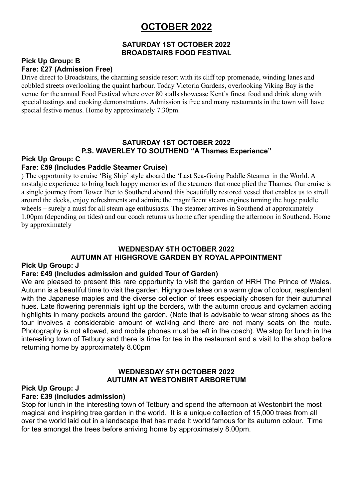# **OCTOBER 2022**

#### **SATURDAY 1ST OCTOBER 2022 BROADSTAIRS FOOD FESTIVAL**

#### **Pick Up Group: B Fare: £27 (Admission Free)**

Drive direct to Broadstairs, the charming seaside resort with its cliff top promenade, winding lanes and cobbled streets overlooking the quaint harbour. Today Victoria Gardens, overlooking Viking Bay is the venue for the annual Food Festival where over 80 stalls showcase Kent's finest food and drink along with special tastings and cooking demonstrations. Admission is free and many restaurants in the town will have special festive menus. Home by approximately 7.30pm.

#### **SATURDAY 1ST OCTOBER 2022 P.S. WAVERLEY TO SOUTHEND "A Thames Experience"**

# **Pick Up Group: C**

#### **Fare: £59 (Includes Paddle Steamer Cruise)**

) The opportunity to cruise 'Big Ship' style aboard the 'Last Sea-Going Paddle Steamer in the World. A nostalgic experience to bring back happy memories of the steamers that once plied the Thames. Our cruise is a single journey from Tower Pier to Southend aboard this beautifully restored vessel that enables us to stroll around the decks, enjoy refreshments and admire the magnificent steam engines turning the huge paddle wheels – surely a must for all steam age enthusiasts. The steamer arrives in Southend at approximately 1.00pm (depending on tides) and our coach returns us home after spending the afternoon in Southend. Home by approximately

#### **WEDNESDAY 5TH OCTOBER 2022**

# **AUTUMN AT HIGHGROVE GARDEN BY ROYAL APPOINTMENT**

#### **Pick Up Group: J**

#### **Fare: £49 (Includes admission and guided Tour of Garden)**

We are pleased to present this rare opportunity to visit the garden of HRH The Prince of Wales. Autumn is a beautiful time to visit the garden. Highgrove takes on a warm glow of colour, resplendent with the Japanese maples and the diverse collection of trees especially chosen for their autumnal hues. Late flowering perennials light up the borders, with the autumn crocus and cyclamen adding highlights in many pockets around the garden. (Note that is advisable to wear strong shoes as the tour involves a considerable amount of walking and there are not many seats on the route. Photography is not allowed, and mobile phones must be left in the coach). We stop for lunch in the interesting town of Tetbury and there is time for tea in the restaurant and a visit to the shop before returning home by approximately 8.00pm

#### **WEDNESDAY 5TH OCTOBER 2022 AUTUMN AT WESTONBIRT ARBORETUM**

#### **Pick Up Group: J**

#### **Fare: £39 (Includes admission)**

Stop for lunch in the interesting town of Tetbury and spend the afternoon at Westonbirt the most magical and inspiring tree garden in the world. It is a unique collection of 15,000 trees from all over the world laid out in a landscape that has made it world famous for its autumn colour. Time for tea amongst the trees before arriving home by approximately 8.00pm.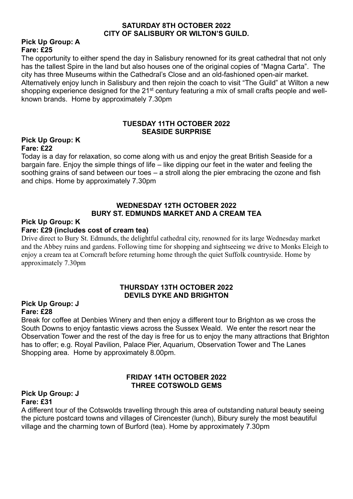#### **SATURDAY 8TH OCTOBER 2022 CITY OF SALISBURY OR WILTON'S GUILD.**

#### **Pick Up Group: A Fare: £25**

The opportunity to either spend the day in Salisbury renowned for its great cathedral that not only has the tallest Spire in the land but also houses one of the original copies of "Magna Carta". The city has three Museums within the Cathedral's Close and an old-fashioned open-air market. Alternatively enjoy lunch in Salisbury and then rejoin the coach to visit "The Guild" at Wilton a new shopping experience designed for the 21<sup>st</sup> century featuring a mix of small crafts people and wellknown brands. Home by approximately 7.30pm

#### **TUESDAY 11TH OCTOBER 2022 SEASIDE SURPRISE**

#### **Pick Up Group: K Fare: £22**

Today is a day for relaxation, so come along with us and enjoy the great British Seaside for a bargain fare. Enjoy the simple things of life – like dipping our feet in the water and feeling the soothing grains of sand between our toes – a stroll along the pier embracing the ozone and fish and chips. Home by approximately 7.30pm

#### **WEDNESDAY 12TH OCTOBER 2022 BURY ST. EDMUNDS MARKET AND A CREAM TEA**

#### **Pick Up Group: K**

#### **Fare: £29 (includes cost of cream tea)**

Drive direct to Bury St. Edmunds, the delightful cathedral city, renowned for its large Wednesday market and the Abbey ruins and gardens. Following time for shopping and sightseeing we drive to Monks Eleigh to enjoy a cream tea at Corncraft before returning home through the quiet Suffolk countryside. Home by approximately 7.30pm

#### **THURSDAY 13TH OCTOBER 2022 DEVILS DYKE AND BRIGHTON**

#### **Pick Up Group: J Fare: £28**

Break for coffee at Denbies Winery and then enjoy a different tour to Brighton as we cross the South Downs to enjoy fantastic views across the Sussex Weald. We enter the resort near the Observation Tower and the rest of the day is free for us to enjoy the many attractions that Brighton has to offer; e.g. Royal Pavilion, Palace Pier, Aquarium, Observation Tower and The Lanes Shopping area. Home by approximately 8.00pm.

#### **FRIDAY 14TH OCTOBER 2022 THREE COTSWOLD GEMS**

#### **Pick Up Group: J Fare: £31**

A different tour of the Cotswolds travelling through this area of outstanding natural beauty seeing the picture postcard towns and villages of Cirencester (lunch), Bibury surely the most beautiful village and the charming town of Burford (tea). Home by approximately 7.30pm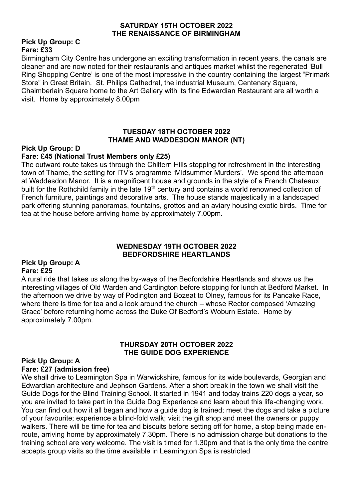#### **SATURDAY 15TH OCTOBER 2022 THE RENAISSANCE OF BIRMINGHAM**

#### **Pick Up Group: C Fare: £33**

Birmingham City Centre has undergone an exciting transformation in recent years, the canals are cleaner and are now noted for their restaurants and antiques market whilst the regenerated 'Bull Ring Shopping Centre' is one of the most impressive in the country containing the largest "Primark Store" in Great Britain. St. Philips Cathedral, the industrial Museum, Centenary Square, Chaimberlain Square home to the Art Gallery with its fine Edwardian Restaurant are all worth a visit. Home by approximately 8.00pm

#### **TUESDAY 18TH OCTOBER 2022 THAME AND WADDESDON MANOR (NT)**

#### **Pick Up Group: D**

#### **Fare: £45 (National Trust Members only £25)**

The outward route takes us through the Chiltern Hills stopping for refreshment in the interesting town of Thame, the setting for ITV's programme 'Midsummer Murders'. We spend the afternoon at Waddesdon Manor. It is a magnificent house and grounds in the style of a French Chateaux built for the Rothchild family in the late 19<sup>th</sup> century and contains a world renowned collection of French furniture, paintings and decorative arts. The house stands majestically in a landscaped park offering stunning panoramas, fountains, grottos and an aviary housing exotic birds. Time for tea at the house before arriving home by approximately 7.00pm.

#### **WEDNESDAY 19TH OCTOBER 2022 BEDFORDSHIRE HEARTLANDS**

#### **Pick Up Group: A Fare: £25**

A rural ride that takes us along the by-ways of the Bedfordshire Heartlands and shows us the interesting villages of Old Warden and Cardington before stopping for lunch at Bedford Market. In the afternoon we drive by way of Podington and Bozeat to Olney, famous for its Pancake Race, where there is time for tea and a look around the church – whose Rector composed 'Amazing Grace' before returning home across the Duke Of Bedford's Woburn Estate. Home by approximately 7.00pm.

#### **THURSDAY 20TH OCTOBER 2022 THE GUIDE DOG EXPERIENCE**

#### **Pick Up Group: A Fare: £27 (admission free)**

We shall drive to Leamington Spa in Warwickshire, famous for its wide boulevards, Georgian and Edwardian architecture and Jephson Gardens. After a short break in the town we shall visit the Guide Dogs for the Blind Training School. It started in 1941 and today trains 220 dogs a year, so you are invited to take part in the Guide Dog Experience and learn about this life-changing work. You can find out how it all began and how a guide dog is trained; meet the dogs and take a picture of your favourite; experience a blind-fold walk; visit the gift shop and meet the owners or puppy walkers. There will be time for tea and biscuits before setting off for home, a stop being made enroute, arriving home by approximately 7.30pm. There is no admission charge but donations to the training school are very welcome. The visit is timed for 1.30pm and that is the only time the centre accepts group visits so the time available in Leamington Spa is restricted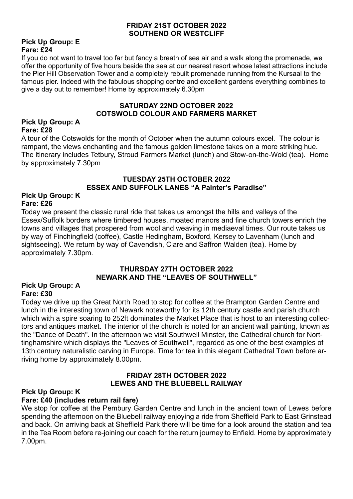#### **FRIDAY 21ST OCTOBER 2022 SOUTHEND OR WESTCLIFF**

#### **Pick Up Group: E Fare: £24**

If you do not want to travel too far but fancy a breath of sea air and a walk along the promenade, we offer the opportunity of five hours beside the sea at our nearest resort whose latest attractions include the Pier Hill Observation Tower and a completely rebuilt promenade running from the Kursaal to the famous pier. Indeed with the fabulous shopping centre and excellent gardens everything combines to give a day out to remember! Home by approximately 6.30pm

#### **SATURDAY 22ND OCTOBER 2022 COTSWOLD COLOUR AND FARMERS MARKET**

#### **Pick Up Group: A Fare: £28**

A tour of the Cotswolds for the month of October when the autumn colours excel. The colour is rampant, the views enchanting and the famous golden limestone takes on a more striking hue. The itinerary includes Tetbury, Stroud Farmers Market (lunch) and Stow-on-the-Wold (tea). Home by approximately 7.30pm

## **TUESDAY 25TH OCTOBER 2022 ESSEX AND SUFFOLK LANES "A Painter's Paradise"**

#### **Pick Up Group: K Fare: £26**

Today we present the classic rural ride that takes us amongst the hills and valleys of the Essex/Suffolk borders where timbered houses, moated manors and fine church towers enrich the towns and villages that prospered from wool and weaving in mediaeval times. Our route takes us by way of Finchingfield (coffee), Castle Hedingham, Boxford, Kersey to Lavenham (lunch and sightseeing). We return by way of Cavendish, Clare and Saffron Walden (tea). Home by approximately 7.30pm.

#### **THURSDAY 27TH OCTOBER 2022 NEWARK AND THE "LEAVES OF SOUTHWELL"**

#### **Pick Up Group: A Fare: £30**

Today we drive up the Great North Road to stop for coffee at the Brampton Garden Centre and lunch in the interesting town of Newark noteworthy for its 12th century castle and parish church which with a spire soaring to 252ft dominates the Market Place that is host to an interesting collectors and antiques market. The interior of the church is noted for an ancient wall painting, known as the "Dance of Death". In the afternoon we visit Southwell Minster, the Cathedral church for Norttinghamshire which displays the "Leaves of Southwell", regarded as one of the best examples of 13th century naturalistic carving in Europe. Time for tea in this elegant Cathedral Town before arriving home by approximately 8.00pm.

#### **FRIDAY 28TH OCTOBER 2022 LEWES AND THE BLUEBELL RAILWAY**

#### **Pick Up Group: K**

#### **Fare: £40 (includes return rail fare)**

We stop for coffee at the Pembury Garden Centre and lunch in the ancient town of Lewes before spending the afternoon on the Bluebell railway enjoying a ride from Sheffield Park to East Grinstead and back. On arriving back at Sheffield Park there will be time for a look around the station and tea in the Tea Room before re-joining our coach for the return journey to Enfield. Home by approximately 7.00pm.